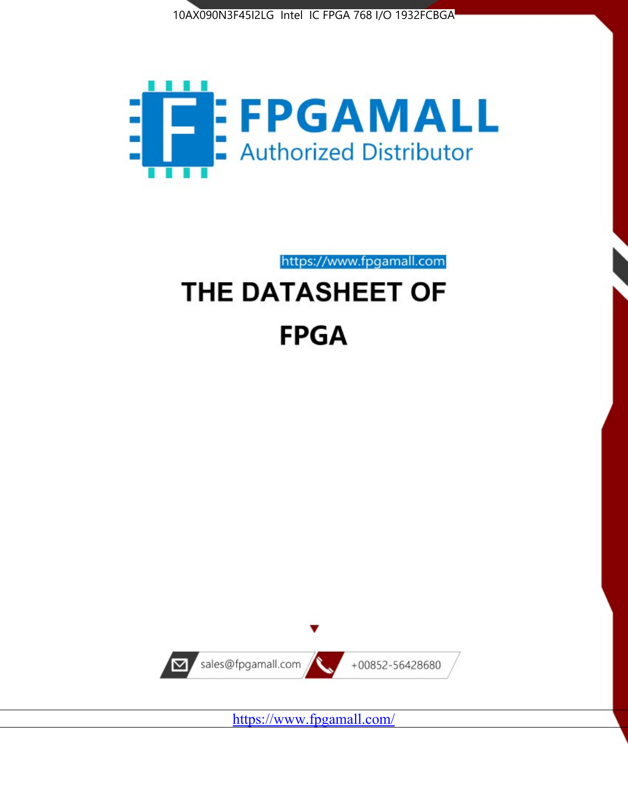



https://www.fpgamall.com

# THE DATASHEET OF **FPGA**



<https://www.fpgamall.com/>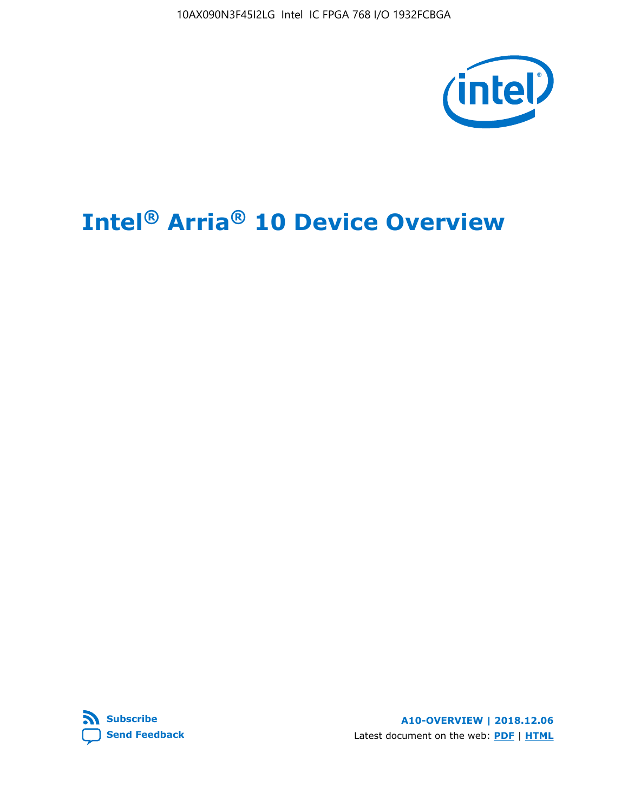10AX090N3F45I2LG Intel IC FPGA 768 I/O 1932FCBGA



# **Intel® Arria® 10 Device Overview**



**A10-OVERVIEW | 2018.12.06** Latest document on the web: **[PDF](https://www.intel.com/content/dam/www/programmable/us/en/pdfs/literature/hb/arria-10/a10_overview.pdf)** | **[HTML](https://www.intel.com/content/www/us/en/programmable/documentation/sam1403480274650.html)**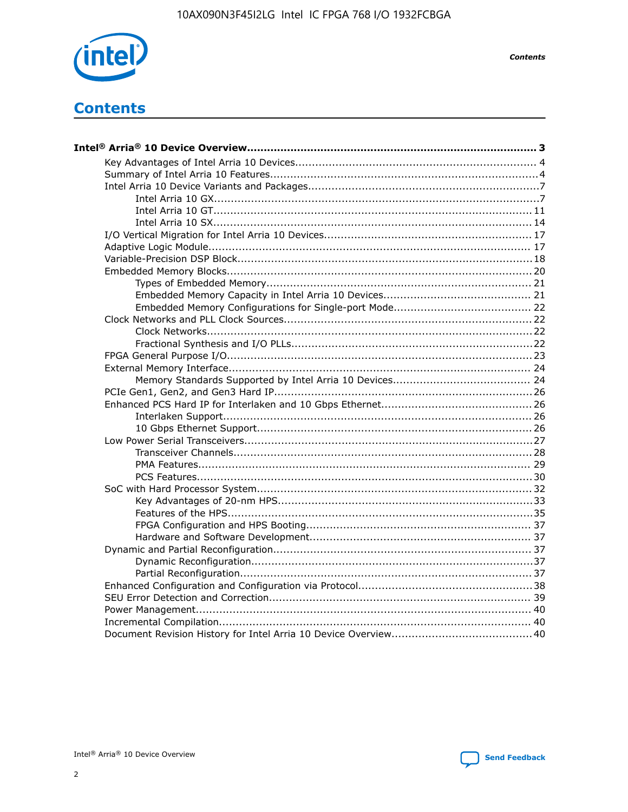

**Contents** 

# **Contents**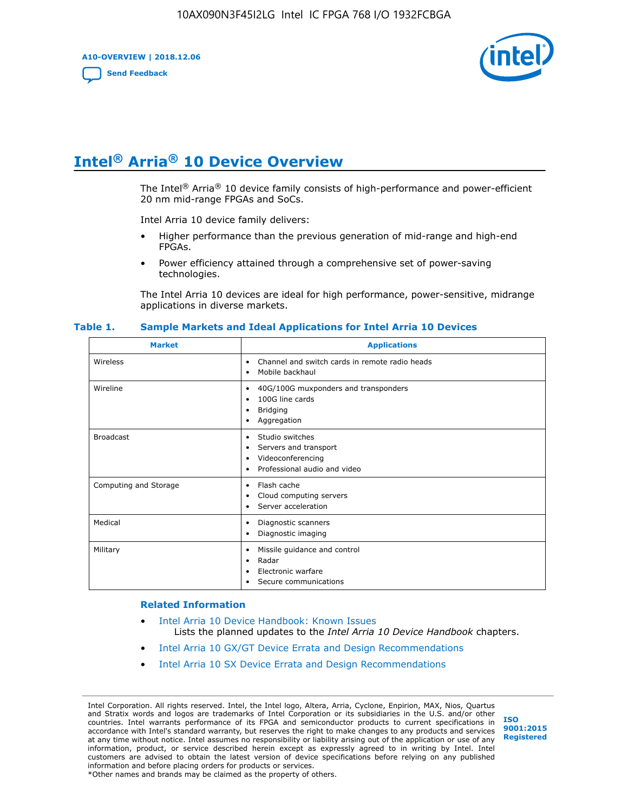**A10-OVERVIEW | 2018.12.06**

**[Send Feedback](mailto:FPGAtechdocfeedback@intel.com?subject=Feedback%20on%20Intel%20Arria%2010%20Device%20Overview%20(A10-OVERVIEW%202018.12.06)&body=We%20appreciate%20your%20feedback.%20In%20your%20comments,%20also%20specify%20the%20page%20number%20or%20paragraph.%20Thank%20you.)**



# **Intel® Arria® 10 Device Overview**

The Intel<sup>®</sup> Arria<sup>®</sup> 10 device family consists of high-performance and power-efficient 20 nm mid-range FPGAs and SoCs.

Intel Arria 10 device family delivers:

- Higher performance than the previous generation of mid-range and high-end FPGAs.
- Power efficiency attained through a comprehensive set of power-saving technologies.

The Intel Arria 10 devices are ideal for high performance, power-sensitive, midrange applications in diverse markets.

| <b>Market</b>         | <b>Applications</b>                                                                                               |
|-----------------------|-------------------------------------------------------------------------------------------------------------------|
| Wireless              | Channel and switch cards in remote radio heads<br>٠<br>Mobile backhaul<br>٠                                       |
| Wireline              | 40G/100G muxponders and transponders<br>٠<br>100G line cards<br>٠<br><b>Bridging</b><br>٠<br>Aggregation<br>٠     |
| <b>Broadcast</b>      | Studio switches<br>٠<br>Servers and transport<br>٠<br>Videoconferencing<br>٠<br>Professional audio and video<br>٠ |
| Computing and Storage | Flash cache<br>٠<br>Cloud computing servers<br>٠<br>Server acceleration<br>٠                                      |
| Medical               | Diagnostic scanners<br>٠<br>Diagnostic imaging<br>٠                                                               |
| Military              | Missile guidance and control<br>٠<br>Radar<br>٠<br>Electronic warfare<br>٠<br>Secure communications<br>٠          |

#### **Table 1. Sample Markets and Ideal Applications for Intel Arria 10 Devices**

#### **Related Information**

- [Intel Arria 10 Device Handbook: Known Issues](http://www.altera.com/support/kdb/solutions/rd07302013_646.html) Lists the planned updates to the *Intel Arria 10 Device Handbook* chapters.
- [Intel Arria 10 GX/GT Device Errata and Design Recommendations](https://www.intel.com/content/www/us/en/programmable/documentation/agz1493851706374.html#yqz1494433888646)
- [Intel Arria 10 SX Device Errata and Design Recommendations](https://www.intel.com/content/www/us/en/programmable/documentation/cru1462832385668.html#cru1462832558642)

Intel Corporation. All rights reserved. Intel, the Intel logo, Altera, Arria, Cyclone, Enpirion, MAX, Nios, Quartus and Stratix words and logos are trademarks of Intel Corporation or its subsidiaries in the U.S. and/or other countries. Intel warrants performance of its FPGA and semiconductor products to current specifications in accordance with Intel's standard warranty, but reserves the right to make changes to any products and services at any time without notice. Intel assumes no responsibility or liability arising out of the application or use of any information, product, or service described herein except as expressly agreed to in writing by Intel. Intel customers are advised to obtain the latest version of device specifications before relying on any published information and before placing orders for products or services. \*Other names and brands may be claimed as the property of others.

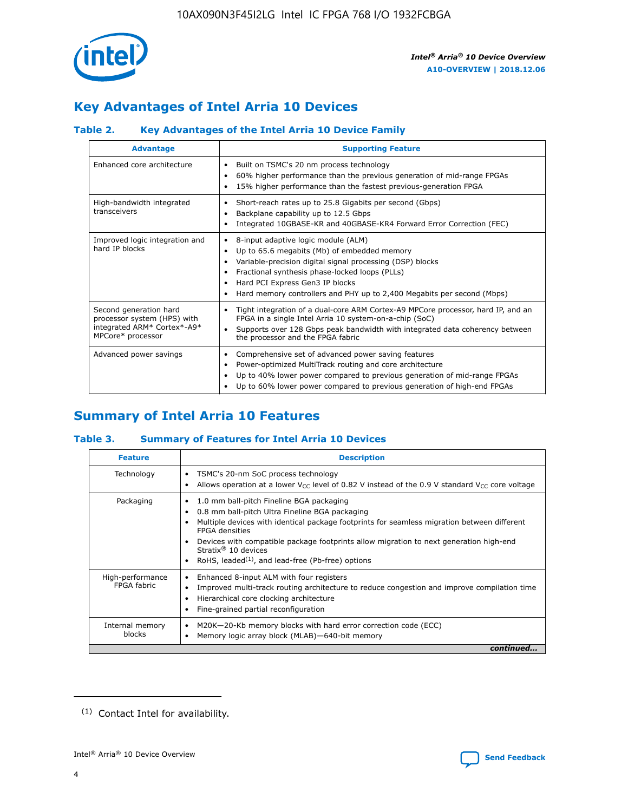

# **Key Advantages of Intel Arria 10 Devices**

# **Table 2. Key Advantages of the Intel Arria 10 Device Family**

| <b>Advantage</b>                                                                                          | <b>Supporting Feature</b>                                                                                                                                                                                                                                                                                                |
|-----------------------------------------------------------------------------------------------------------|--------------------------------------------------------------------------------------------------------------------------------------------------------------------------------------------------------------------------------------------------------------------------------------------------------------------------|
| Enhanced core architecture                                                                                | Built on TSMC's 20 nm process technology<br>٠<br>60% higher performance than the previous generation of mid-range FPGAs<br>٠<br>15% higher performance than the fastest previous-generation FPGA<br>٠                                                                                                                    |
| High-bandwidth integrated<br>transceivers                                                                 | Short-reach rates up to 25.8 Gigabits per second (Gbps)<br>٠<br>Backplane capability up to 12.5 Gbps<br>٠<br>Integrated 10GBASE-KR and 40GBASE-KR4 Forward Error Correction (FEC)<br>٠                                                                                                                                   |
| Improved logic integration and<br>hard IP blocks                                                          | 8-input adaptive logic module (ALM)<br>٠<br>Up to 65.6 megabits (Mb) of embedded memory<br>٠<br>Variable-precision digital signal processing (DSP) blocks<br>Fractional synthesis phase-locked loops (PLLs)<br>Hard PCI Express Gen3 IP blocks<br>Hard memory controllers and PHY up to 2,400 Megabits per second (Mbps) |
| Second generation hard<br>processor system (HPS) with<br>integrated ARM* Cortex*-A9*<br>MPCore* processor | Tight integration of a dual-core ARM Cortex-A9 MPCore processor, hard IP, and an<br>٠<br>FPGA in a single Intel Arria 10 system-on-a-chip (SoC)<br>Supports over 128 Gbps peak bandwidth with integrated data coherency between<br>$\bullet$<br>the processor and the FPGA fabric                                        |
| Advanced power savings                                                                                    | Comprehensive set of advanced power saving features<br>٠<br>Power-optimized MultiTrack routing and core architecture<br>٠<br>Up to 40% lower power compared to previous generation of mid-range FPGAs<br>٠<br>Up to 60% lower power compared to previous generation of high-end FPGAs<br>٠                               |

# **Summary of Intel Arria 10 Features**

## **Table 3. Summary of Features for Intel Arria 10 Devices**

| <b>Feature</b>                  | <b>Description</b>                                                                                                                                                                                                                                                                                                                                                                                       |
|---------------------------------|----------------------------------------------------------------------------------------------------------------------------------------------------------------------------------------------------------------------------------------------------------------------------------------------------------------------------------------------------------------------------------------------------------|
| Technology                      | TSMC's 20-nm SoC process technology<br>٠<br>Allows operation at a lower $V_{\text{CC}}$ level of 0.82 V instead of the 0.9 V standard $V_{\text{CC}}$ core voltage                                                                                                                                                                                                                                       |
| Packaging                       | 1.0 mm ball-pitch Fineline BGA packaging<br>0.8 mm ball-pitch Ultra Fineline BGA packaging<br>Multiple devices with identical package footprints for seamless migration between different<br><b>FPGA</b> densities<br>Devices with compatible package footprints allow migration to next generation high-end<br>Stratix $\mathcal{R}$ 10 devices<br>RoHS, leaded $(1)$ , and lead-free (Pb-free) options |
| High-performance<br>FPGA fabric | Enhanced 8-input ALM with four registers<br>٠<br>Improved multi-track routing architecture to reduce congestion and improve compilation time<br>Hierarchical core clocking architecture<br>Fine-grained partial reconfiguration                                                                                                                                                                          |
| Internal memory<br>blocks       | M20K-20-Kb memory blocks with hard error correction code (ECC)<br>Memory logic array block (MLAB)-640-bit memory                                                                                                                                                                                                                                                                                         |
|                                 | continued                                                                                                                                                                                                                                                                                                                                                                                                |



<sup>(1)</sup> Contact Intel for availability.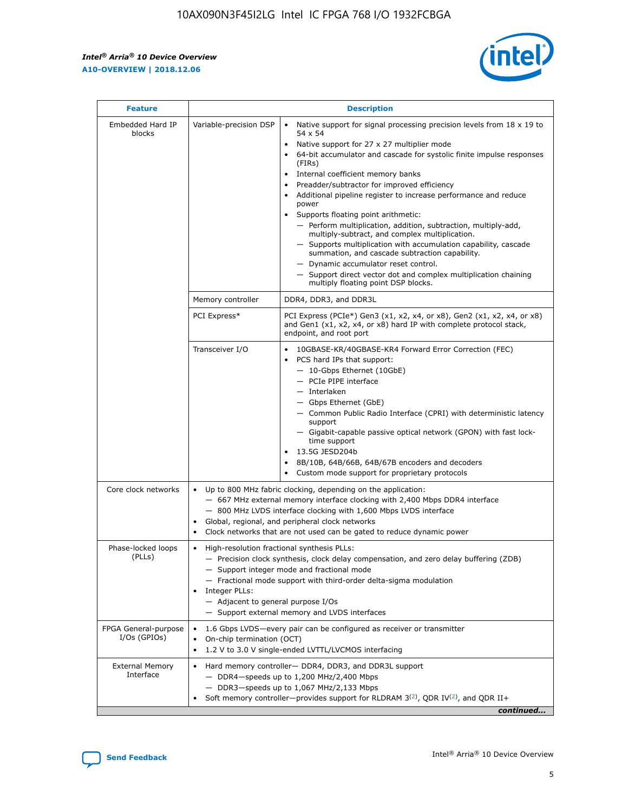$\mathsf{r}$ 



| <b>Feature</b>                         |                                                                                                                | <b>Description</b>                                                                                                                                                                                                                                                                                                                                                                                                                                                                                                                                                                                                                                                                                                                                                                                                                          |
|----------------------------------------|----------------------------------------------------------------------------------------------------------------|---------------------------------------------------------------------------------------------------------------------------------------------------------------------------------------------------------------------------------------------------------------------------------------------------------------------------------------------------------------------------------------------------------------------------------------------------------------------------------------------------------------------------------------------------------------------------------------------------------------------------------------------------------------------------------------------------------------------------------------------------------------------------------------------------------------------------------------------|
| Embedded Hard IP<br>blocks             | Variable-precision DSP                                                                                         | Native support for signal processing precision levels from $18 \times 19$ to<br>$\bullet$<br>54 x 54<br>Native support for 27 x 27 multiplier mode<br>64-bit accumulator and cascade for systolic finite impulse responses<br>(FIRs)<br>Internal coefficient memory banks<br>٠<br>Preadder/subtractor for improved efficiency<br>Additional pipeline register to increase performance and reduce<br>power<br>Supports floating point arithmetic:<br>- Perform multiplication, addition, subtraction, multiply-add,<br>multiply-subtract, and complex multiplication.<br>- Supports multiplication with accumulation capability, cascade<br>summation, and cascade subtraction capability.<br>- Dynamic accumulator reset control.<br>- Support direct vector dot and complex multiplication chaining<br>multiply floating point DSP blocks. |
|                                        | Memory controller                                                                                              | DDR4, DDR3, and DDR3L                                                                                                                                                                                                                                                                                                                                                                                                                                                                                                                                                                                                                                                                                                                                                                                                                       |
|                                        | PCI Express*                                                                                                   | PCI Express (PCIe*) Gen3 (x1, x2, x4, or x8), Gen2 (x1, x2, x4, or x8)<br>and Gen1 (x1, x2, x4, or x8) hard IP with complete protocol stack,<br>endpoint, and root port                                                                                                                                                                                                                                                                                                                                                                                                                                                                                                                                                                                                                                                                     |
|                                        | Transceiver I/O                                                                                                | 10GBASE-KR/40GBASE-KR4 Forward Error Correction (FEC)<br>PCS hard IPs that support:<br>- 10-Gbps Ethernet (10GbE)<br>- PCIe PIPE interface<br>- Interlaken<br>- Gbps Ethernet (GbE)<br>- Common Public Radio Interface (CPRI) with deterministic latency<br>support<br>- Gigabit-capable passive optical network (GPON) with fast lock-<br>time support<br>13.5G JESD204b<br>$\bullet$<br>8B/10B, 64B/66B, 64B/67B encoders and decoders<br>Custom mode support for proprietary protocols                                                                                                                                                                                                                                                                                                                                                   |
| Core clock networks                    | $\bullet$<br>$\bullet$                                                                                         | Up to 800 MHz fabric clocking, depending on the application:<br>- 667 MHz external memory interface clocking with 2,400 Mbps DDR4 interface<br>- 800 MHz LVDS interface clocking with 1,600 Mbps LVDS interface<br>Global, regional, and peripheral clock networks<br>Clock networks that are not used can be gated to reduce dynamic power                                                                                                                                                                                                                                                                                                                                                                                                                                                                                                 |
| Phase-locked loops<br>(PLLs)           | High-resolution fractional synthesis PLLs:<br>$\bullet$<br>Integer PLLs:<br>- Adjacent to general purpose I/Os | - Precision clock synthesis, clock delay compensation, and zero delay buffering (ZDB)<br>- Support integer mode and fractional mode<br>- Fractional mode support with third-order delta-sigma modulation<br>- Support external memory and LVDS interfaces                                                                                                                                                                                                                                                                                                                                                                                                                                                                                                                                                                                   |
| FPGA General-purpose<br>$I/Os$ (GPIOs) | On-chip termination (OCT)<br>$\bullet$                                                                         | 1.6 Gbps LVDS-every pair can be configured as receiver or transmitter<br>1.2 V to 3.0 V single-ended LVTTL/LVCMOS interfacing                                                                                                                                                                                                                                                                                                                                                                                                                                                                                                                                                                                                                                                                                                               |
| <b>External Memory</b><br>Interface    |                                                                                                                | Hard memory controller- DDR4, DDR3, and DDR3L support<br>$-$ DDR4-speeds up to 1,200 MHz/2,400 Mbps<br>- DDR3-speeds up to 1,067 MHz/2,133 Mbps<br>Soft memory controller—provides support for RLDRAM $3^{(2)}$ , QDR IV $(2^2)$ , and QDR II+<br>continued                                                                                                                                                                                                                                                                                                                                                                                                                                                                                                                                                                                 |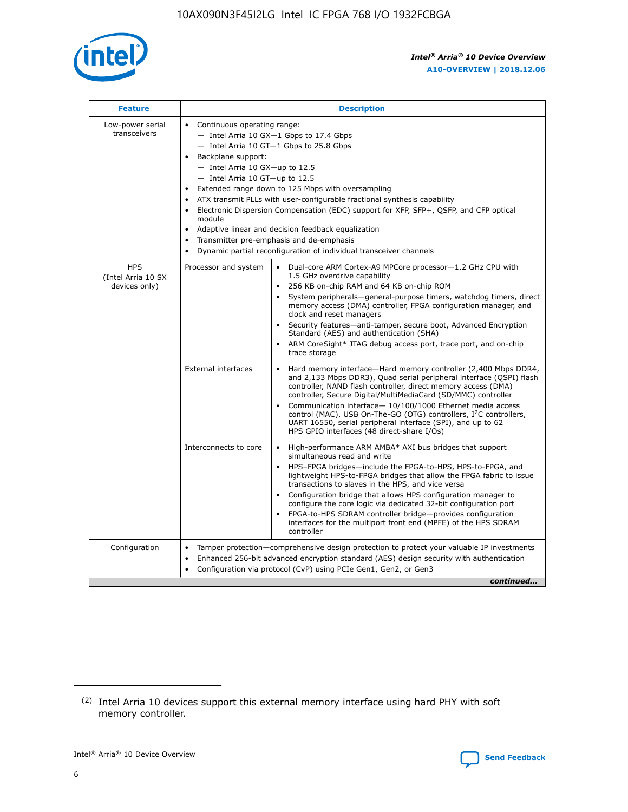

| <b>Feature</b>                                    | <b>Description</b>                                                                                                                                                                                                                                                                                                                                                                                                                                                                                                                                                                                                                                    |
|---------------------------------------------------|-------------------------------------------------------------------------------------------------------------------------------------------------------------------------------------------------------------------------------------------------------------------------------------------------------------------------------------------------------------------------------------------------------------------------------------------------------------------------------------------------------------------------------------------------------------------------------------------------------------------------------------------------------|
| Low-power serial<br>transceivers                  | • Continuous operating range:<br>- Intel Arria 10 GX-1 Gbps to 17.4 Gbps<br>- Intel Arria 10 GT-1 Gbps to 25.8 Gbps<br>Backplane support:<br>$-$ Intel Arria 10 GX-up to 12.5<br>- Intel Arria 10 GT-up to 12.5<br>Extended range down to 125 Mbps with oversampling<br>ATX transmit PLLs with user-configurable fractional synthesis capability<br>Electronic Dispersion Compensation (EDC) support for XFP, SFP+, QSFP, and CFP optical<br>module<br>Adaptive linear and decision feedback equalization<br>$\bullet$<br>Transmitter pre-emphasis and de-emphasis<br>$\bullet$<br>Dynamic partial reconfiguration of individual transceiver channels |
| <b>HPS</b><br>(Intel Arria 10 SX<br>devices only) | • Dual-core ARM Cortex-A9 MPCore processor-1.2 GHz CPU with<br>Processor and system<br>1.5 GHz overdrive capability<br>256 KB on-chip RAM and 64 KB on-chip ROM<br>$\bullet$<br>System peripherals—general-purpose timers, watchdog timers, direct<br>memory access (DMA) controller, FPGA configuration manager, and<br>clock and reset managers<br>Security features—anti-tamper, secure boot, Advanced Encryption<br>$\bullet$<br>Standard (AES) and authentication (SHA)<br>ARM CoreSight* JTAG debug access port, trace port, and on-chip<br>$\bullet$<br>trace storage                                                                          |
|                                                   | <b>External interfaces</b><br>Hard memory interface-Hard memory controller (2,400 Mbps DDR4,<br>$\bullet$<br>and 2,133 Mbps DDR3), Quad serial peripheral interface (QSPI) flash<br>controller, NAND flash controller, direct memory access (DMA)<br>controller, Secure Digital/MultiMediaCard (SD/MMC) controller<br>Communication interface-10/100/1000 Ethernet media access<br>$\bullet$<br>control (MAC), USB On-The-GO (OTG) controllers, I <sup>2</sup> C controllers,<br>UART 16550, serial peripheral interface (SPI), and up to 62<br>HPS GPIO interfaces (48 direct-share I/Os)                                                            |
|                                                   | High-performance ARM AMBA* AXI bus bridges that support<br>Interconnects to core<br>$\bullet$<br>simultaneous read and write<br>HPS-FPGA bridges-include the FPGA-to-HPS, HPS-to-FPGA, and<br>$\bullet$<br>lightweight HPS-to-FPGA bridges that allow the FPGA fabric to issue<br>transactions to slaves in the HPS, and vice versa<br>Configuration bridge that allows HPS configuration manager to<br>configure the core logic via dedicated 32-bit configuration port<br>FPGA-to-HPS SDRAM controller bridge-provides configuration<br>interfaces for the multiport front end (MPFE) of the HPS SDRAM<br>controller                                |
| Configuration                                     | Tamper protection—comprehensive design protection to protect your valuable IP investments<br>Enhanced 256-bit advanced encryption standard (AES) design security with authentication<br>٠<br>Configuration via protocol (CvP) using PCIe Gen1, Gen2, or Gen3<br>continued                                                                                                                                                                                                                                                                                                                                                                             |

<sup>(2)</sup> Intel Arria 10 devices support this external memory interface using hard PHY with soft memory controller.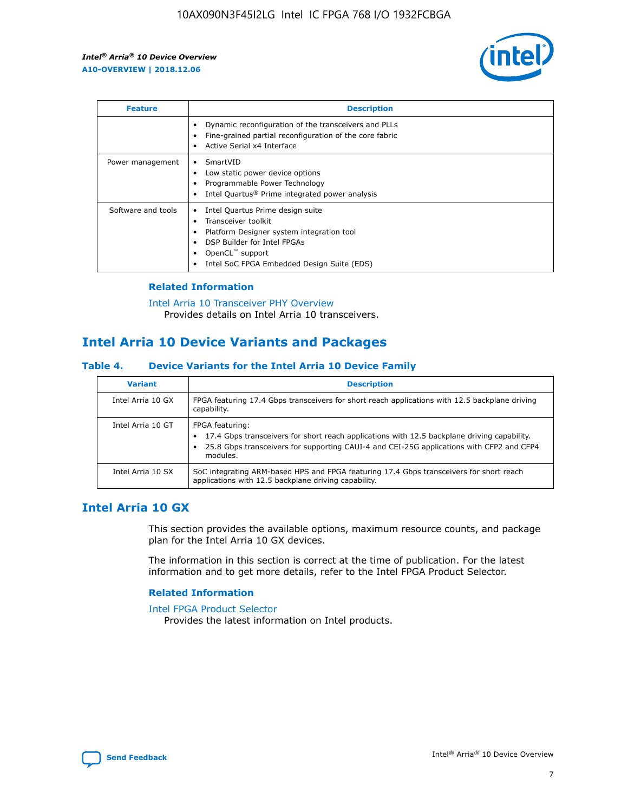

| <b>Feature</b>     | <b>Description</b>                                                                                                                                                                                               |
|--------------------|------------------------------------------------------------------------------------------------------------------------------------------------------------------------------------------------------------------|
|                    | Dynamic reconfiguration of the transceivers and PLLs<br>Fine-grained partial reconfiguration of the core fabric<br>Active Serial x4 Interface<br>$\bullet$                                                       |
| Power management   | SmartVID<br>Low static power device options<br>Programmable Power Technology<br>Intel Quartus <sup>®</sup> Prime integrated power analysis                                                                       |
| Software and tools | Intel Quartus Prime design suite<br>Transceiver toolkit<br>Platform Designer system integration tool<br>DSP Builder for Intel FPGAs<br>OpenCL <sup>™</sup> support<br>Intel SoC FPGA Embedded Design Suite (EDS) |

## **Related Information**

[Intel Arria 10 Transceiver PHY Overview](https://www.intel.com/content/www/us/en/programmable/documentation/nik1398707230472.html#nik1398706768037) Provides details on Intel Arria 10 transceivers.

# **Intel Arria 10 Device Variants and Packages**

#### **Table 4. Device Variants for the Intel Arria 10 Device Family**

| <b>Variant</b>    | <b>Description</b>                                                                                                                                                                                                     |
|-------------------|------------------------------------------------------------------------------------------------------------------------------------------------------------------------------------------------------------------------|
| Intel Arria 10 GX | FPGA featuring 17.4 Gbps transceivers for short reach applications with 12.5 backplane driving<br>capability.                                                                                                          |
| Intel Arria 10 GT | FPGA featuring:<br>17.4 Gbps transceivers for short reach applications with 12.5 backplane driving capability.<br>25.8 Gbps transceivers for supporting CAUI-4 and CEI-25G applications with CFP2 and CFP4<br>modules. |
| Intel Arria 10 SX | SoC integrating ARM-based HPS and FPGA featuring 17.4 Gbps transceivers for short reach<br>applications with 12.5 backplane driving capability.                                                                        |

# **Intel Arria 10 GX**

This section provides the available options, maximum resource counts, and package plan for the Intel Arria 10 GX devices.

The information in this section is correct at the time of publication. For the latest information and to get more details, refer to the Intel FPGA Product Selector.

#### **Related Information**

#### [Intel FPGA Product Selector](http://www.altera.com/products/selector/psg-selector.html) Provides the latest information on Intel products.

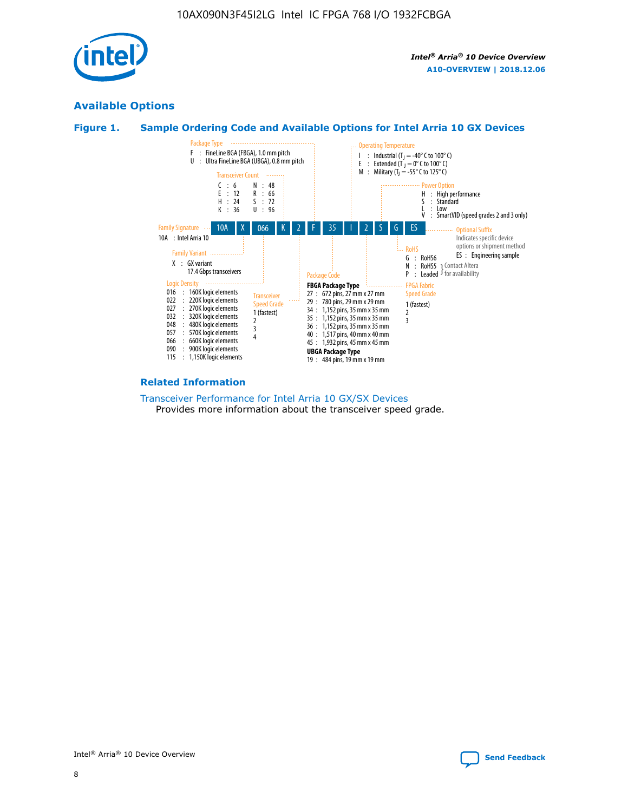

# **Available Options**





#### **Related Information**

[Transceiver Performance for Intel Arria 10 GX/SX Devices](https://www.intel.com/content/www/us/en/programmable/documentation/mcn1413182292568.html#mcn1413213965502) Provides more information about the transceiver speed grade.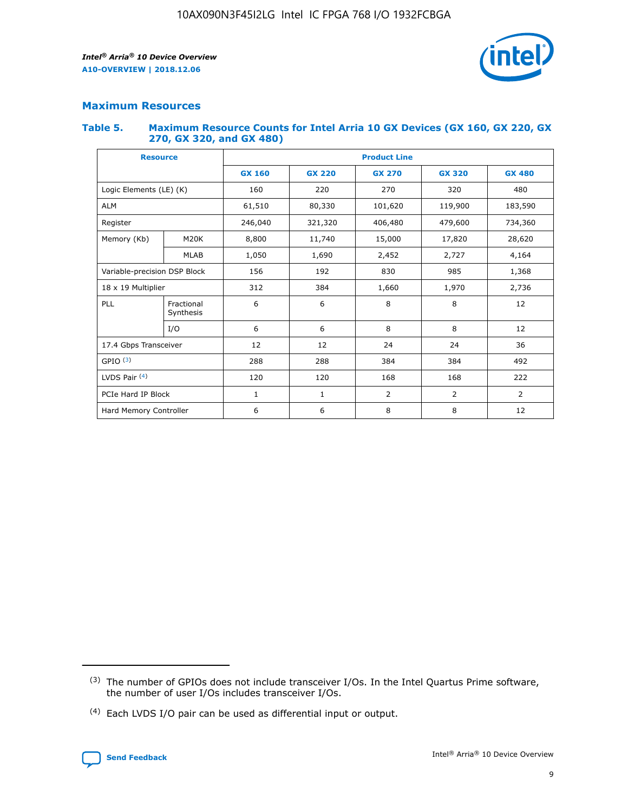

## **Maximum Resources**

#### **Table 5. Maximum Resource Counts for Intel Arria 10 GX Devices (GX 160, GX 220, GX 270, GX 320, and GX 480)**

| <b>Resource</b>         |                                                          | <b>Product Line</b> |                                |            |                |                |  |  |
|-------------------------|----------------------------------------------------------|---------------------|--------------------------------|------------|----------------|----------------|--|--|
|                         |                                                          | <b>GX 160</b>       | <b>GX 220</b><br><b>GX 270</b> |            | <b>GX 320</b>  | <b>GX 480</b>  |  |  |
| Logic Elements (LE) (K) |                                                          | 160                 | 220                            | 270        | 320            | 480            |  |  |
| <b>ALM</b>              |                                                          | 61,510              | 80,330                         | 101,620    | 119,900        | 183,590        |  |  |
| Register                |                                                          | 246,040             | 321,320                        | 406,480    | 479,600        | 734,360        |  |  |
| Memory (Kb)             | M <sub>20</sub> K                                        | 8,800               | 11,740                         | 15,000     | 17,820         | 28,620         |  |  |
| <b>MLAB</b>             |                                                          | 1,050               | 1,690                          | 2,452      | 2,727          | 4,164          |  |  |
|                         | Variable-precision DSP Block<br>192<br>830<br>985<br>156 |                     |                                |            | 1,368          |                |  |  |
| 18 x 19 Multiplier      |                                                          | 312                 | 384                            | 1,660      | 1,970          | 2,736          |  |  |
| PLL                     | Fractional<br>Synthesis                                  | 6                   | 6                              | 8          | 8              | 12             |  |  |
|                         | I/O                                                      | 6                   | 6                              | 8          | 8              | 12             |  |  |
| 17.4 Gbps Transceiver   |                                                          | 12                  | 12                             | 24         | 24             |                |  |  |
| GPIO <sup>(3)</sup>     |                                                          | 288                 | 288                            | 384<br>384 |                | 492            |  |  |
| LVDS Pair $(4)$         |                                                          | 120                 | 120                            | 168        | 168            | 222            |  |  |
| PCIe Hard IP Block      |                                                          | 1                   | 1                              | 2          | $\overline{2}$ | $\overline{2}$ |  |  |
| Hard Memory Controller  |                                                          | 6                   | 6                              | 8          | 8              | 12             |  |  |

<sup>(4)</sup> Each LVDS I/O pair can be used as differential input or output.



<sup>(3)</sup> The number of GPIOs does not include transceiver I/Os. In the Intel Quartus Prime software, the number of user I/Os includes transceiver I/Os.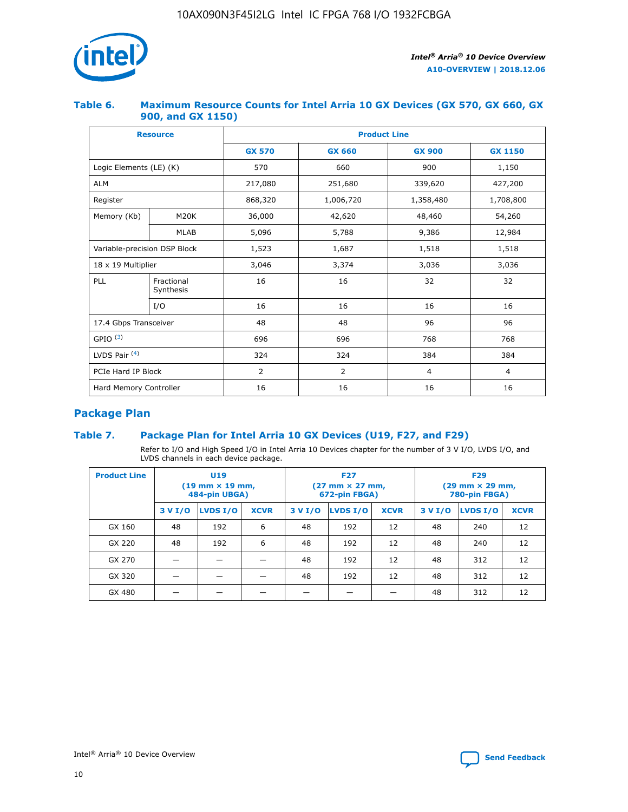

## **Table 6. Maximum Resource Counts for Intel Arria 10 GX Devices (GX 570, GX 660, GX 900, and GX 1150)**

|                              | <b>Resource</b>         | <b>Product Line</b> |               |                |                |  |  |  |
|------------------------------|-------------------------|---------------------|---------------|----------------|----------------|--|--|--|
|                              |                         | <b>GX 570</b>       | <b>GX 660</b> | <b>GX 900</b>  | <b>GX 1150</b> |  |  |  |
| Logic Elements (LE) (K)      |                         | 570                 | 660           | 900            | 1,150          |  |  |  |
| <b>ALM</b>                   |                         | 217,080             | 251,680       | 339,620        | 427,200        |  |  |  |
| Register                     |                         | 868,320             | 1,006,720     | 1,358,480      | 1,708,800      |  |  |  |
| Memory (Kb)                  | <b>M20K</b>             |                     | 42,620        | 48,460         | 54,260         |  |  |  |
|                              | <b>MLAB</b>             | 5,096               | 5,788         | 9,386          | 12,984         |  |  |  |
| Variable-precision DSP Block |                         | 1,523               | 1,687         | 1,518          | 1,518          |  |  |  |
| $18 \times 19$ Multiplier    |                         | 3,046               | 3,374         | 3,036          | 3,036          |  |  |  |
| PLL                          | Fractional<br>Synthesis | 16                  | 16            | 32             | 32             |  |  |  |
|                              | I/O                     | 16                  | 16            | 16             | 16             |  |  |  |
| 17.4 Gbps Transceiver        |                         | 48                  | 48            | 96             | 96             |  |  |  |
| GPIO <sup>(3)</sup>          |                         | 696                 | 696           | 768            | 768            |  |  |  |
| LVDS Pair $(4)$              |                         | 324                 | 324           | 384            | 384            |  |  |  |
| PCIe Hard IP Block           |                         | 2                   | 2             | $\overline{4}$ | $\overline{4}$ |  |  |  |
| Hard Memory Controller       |                         | 16                  | 16            | 16             | 16             |  |  |  |

# **Package Plan**

# **Table 7. Package Plan for Intel Arria 10 GX Devices (U19, F27, and F29)**

Refer to I/O and High Speed I/O in Intel Arria 10 Devices chapter for the number of 3 V I/O, LVDS I/O, and LVDS channels in each device package.

| <b>Product Line</b> | U <sub>19</sub><br>$(19 \text{ mm} \times 19 \text{ mm})$<br>484-pin UBGA) |          |             |         | <b>F27</b><br>(27 mm × 27 mm,<br>672-pin FBGA) |             | <b>F29</b><br>(29 mm × 29 mm,<br>780-pin FBGA) |          |             |  |
|---------------------|----------------------------------------------------------------------------|----------|-------------|---------|------------------------------------------------|-------------|------------------------------------------------|----------|-------------|--|
|                     | 3 V I/O                                                                    | LVDS I/O | <b>XCVR</b> | 3 V I/O | <b>LVDS I/O</b>                                | <b>XCVR</b> | 3 V I/O                                        | LVDS I/O | <b>XCVR</b> |  |
| GX 160              | 48                                                                         | 192      | 6           | 48      | 192                                            | 12          | 48                                             | 240      | 12          |  |
| GX 220              | 48                                                                         | 192      | 6           | 48      | 192                                            | 12          | 48                                             | 240      | 12          |  |
| GX 270              |                                                                            |          |             | 48      | 192                                            | 12          | 48                                             | 312      | 12          |  |
| GX 320              |                                                                            |          |             | 48      | 192                                            | 12          | 48                                             | 312      | 12          |  |
| GX 480              |                                                                            |          |             |         |                                                |             | 48                                             | 312      | 12          |  |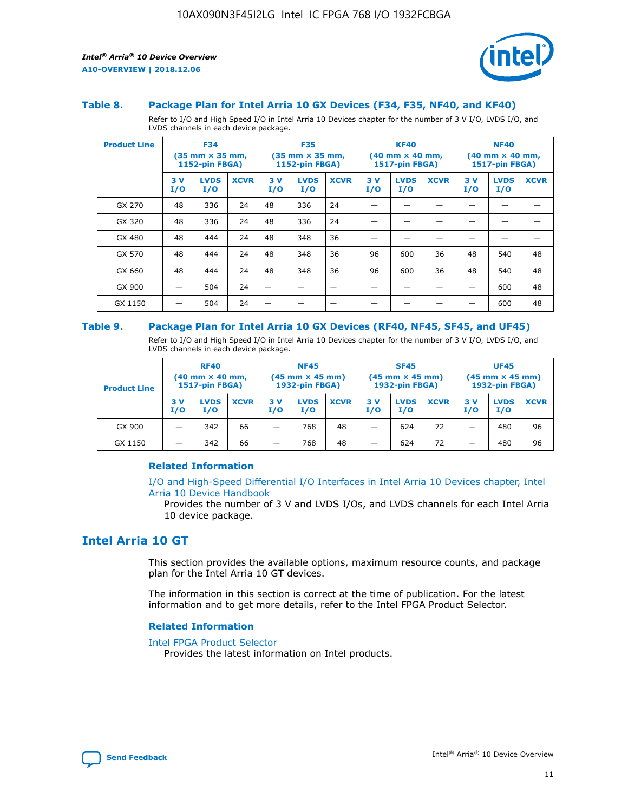

#### **Table 8. Package Plan for Intel Arria 10 GX Devices (F34, F35, NF40, and KF40)**

Refer to I/O and High Speed I/O in Intel Arria 10 Devices chapter for the number of 3 V I/O, LVDS I/O, and LVDS channels in each device package.

| <b>Product Line</b> | <b>F34</b><br>$(35 \text{ mm} \times 35 \text{ mm})$<br>1152-pin FBGA) |                    | <b>F35</b><br>$(35 \text{ mm} \times 35 \text{ mm})$<br><b>1152-pin FBGA)</b> |           | <b>KF40</b><br>$(40$ mm $\times$ 40 mm,<br>1517-pin FBGA) |             |           | <b>NF40</b><br>$(40$ mm $\times$ 40 mm,<br><b>1517-pin FBGA)</b> |             |            |                    |             |
|---------------------|------------------------------------------------------------------------|--------------------|-------------------------------------------------------------------------------|-----------|-----------------------------------------------------------|-------------|-----------|------------------------------------------------------------------|-------------|------------|--------------------|-------------|
|                     | 3V<br>I/O                                                              | <b>LVDS</b><br>I/O | <b>XCVR</b>                                                                   | 3V<br>I/O | <b>LVDS</b><br>I/O                                        | <b>XCVR</b> | 3V<br>I/O | <b>LVDS</b><br>I/O                                               | <b>XCVR</b> | 3 V<br>I/O | <b>LVDS</b><br>I/O | <b>XCVR</b> |
| GX 270              | 48                                                                     | 336                | 24                                                                            | 48        | 336                                                       | 24          |           |                                                                  |             |            |                    |             |
| GX 320              | 48                                                                     | 336                | 24                                                                            | 48        | 336                                                       | 24          |           |                                                                  |             |            |                    |             |
| GX 480              | 48                                                                     | 444                | 24                                                                            | 48        | 348                                                       | 36          |           |                                                                  |             |            |                    |             |
| GX 570              | 48                                                                     | 444                | 24                                                                            | 48        | 348                                                       | 36          | 96        | 600                                                              | 36          | 48         | 540                | 48          |
| GX 660              | 48                                                                     | 444                | 24                                                                            | 48        | 348                                                       | 36          | 96        | 600                                                              | 36          | 48         | 540                | 48          |
| GX 900              |                                                                        | 504                | 24                                                                            | -         |                                                           |             |           |                                                                  |             |            | 600                | 48          |
| GX 1150             |                                                                        | 504                | 24                                                                            |           |                                                           |             |           |                                                                  |             |            | 600                | 48          |

#### **Table 9. Package Plan for Intel Arria 10 GX Devices (RF40, NF45, SF45, and UF45)**

Refer to I/O and High Speed I/O in Intel Arria 10 Devices chapter for the number of 3 V I/O, LVDS I/O, and LVDS channels in each device package.

| <b>Product Line</b> | <b>RF40</b><br>$(40$ mm $\times$ 40 mm,<br>1517-pin FBGA) |                    | <b>NF45</b><br>$(45 \text{ mm} \times 45 \text{ mm})$<br><b>1932-pin FBGA)</b> |            |                    | <b>SF45</b><br>$(45 \text{ mm} \times 45 \text{ mm})$<br><b>1932-pin FBGA)</b> |            |                    | <b>UF45</b><br>$(45 \text{ mm} \times 45 \text{ mm})$<br><b>1932-pin FBGA)</b> |           |                    |             |
|---------------------|-----------------------------------------------------------|--------------------|--------------------------------------------------------------------------------|------------|--------------------|--------------------------------------------------------------------------------|------------|--------------------|--------------------------------------------------------------------------------|-----------|--------------------|-------------|
|                     | 3V<br>I/O                                                 | <b>LVDS</b><br>I/O | <b>XCVR</b>                                                                    | 3 V<br>I/O | <b>LVDS</b><br>I/O | <b>XCVR</b>                                                                    | 3 V<br>I/O | <b>LVDS</b><br>I/O | <b>XCVR</b>                                                                    | 3V<br>I/O | <b>LVDS</b><br>I/O | <b>XCVR</b> |
| GX 900              |                                                           | 342                | 66                                                                             | _          | 768                | 48                                                                             |            | 624                | 72                                                                             |           | 480                | 96          |
| GX 1150             |                                                           | 342                | 66                                                                             | _          | 768                | 48                                                                             |            | 624                | 72                                                                             |           | 480                | 96          |

#### **Related Information**

[I/O and High-Speed Differential I/O Interfaces in Intel Arria 10 Devices chapter, Intel](https://www.intel.com/content/www/us/en/programmable/documentation/sam1403482614086.html#sam1403482030321) [Arria 10 Device Handbook](https://www.intel.com/content/www/us/en/programmable/documentation/sam1403482614086.html#sam1403482030321)

Provides the number of 3 V and LVDS I/Os, and LVDS channels for each Intel Arria 10 device package.

# **Intel Arria 10 GT**

This section provides the available options, maximum resource counts, and package plan for the Intel Arria 10 GT devices.

The information in this section is correct at the time of publication. For the latest information and to get more details, refer to the Intel FPGA Product Selector.

#### **Related Information**

#### [Intel FPGA Product Selector](http://www.altera.com/products/selector/psg-selector.html)

Provides the latest information on Intel products.

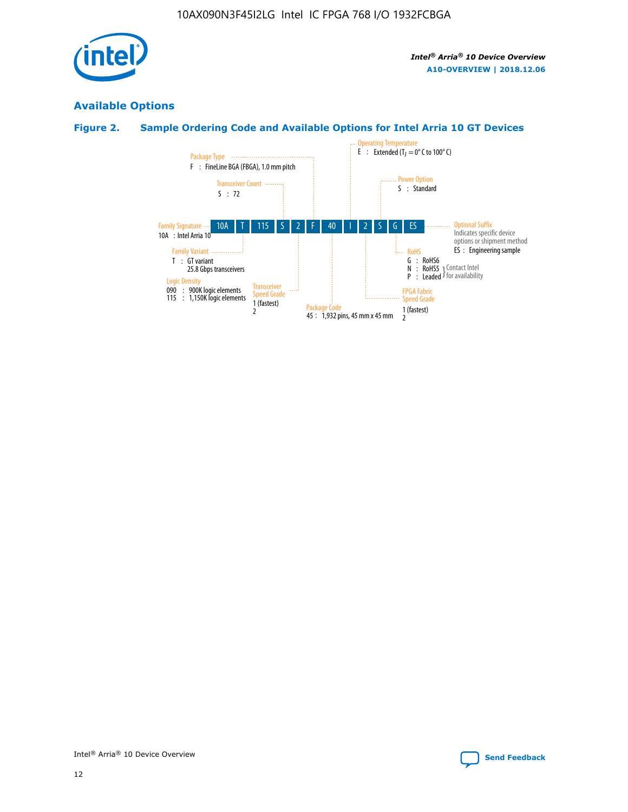

# **Available Options**

# **Figure 2. Sample Ordering Code and Available Options for Intel Arria 10 GT Devices**

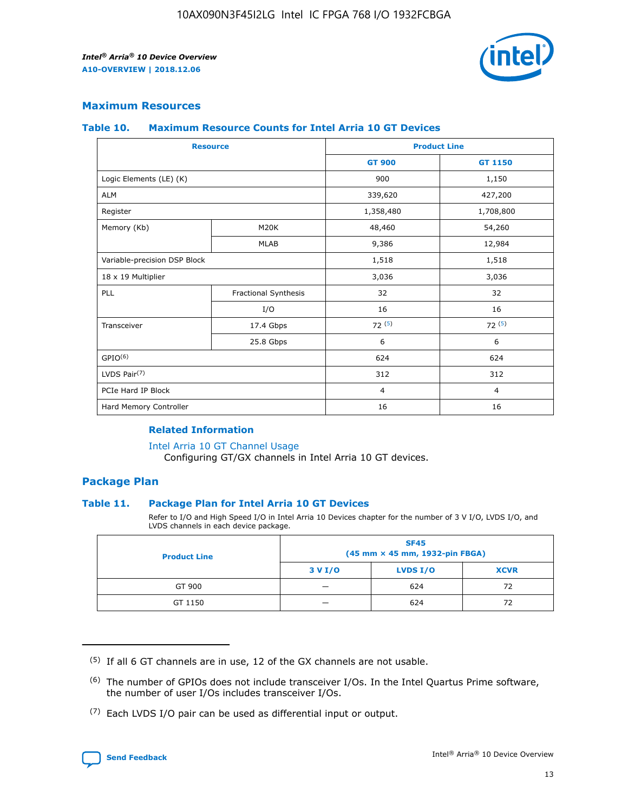

## **Maximum Resources**

#### **Table 10. Maximum Resource Counts for Intel Arria 10 GT Devices**

|                              | <b>Resource</b>      | <b>Product Line</b> |                |  |
|------------------------------|----------------------|---------------------|----------------|--|
|                              |                      | <b>GT 900</b>       | GT 1150        |  |
| Logic Elements (LE) (K)      |                      | 900                 | 1,150          |  |
| <b>ALM</b>                   |                      | 339,620             | 427,200        |  |
| Register                     |                      | 1,358,480           | 1,708,800      |  |
| Memory (Kb)                  | M20K                 | 48,460              | 54,260         |  |
|                              | <b>MLAB</b>          | 9,386               | 12,984         |  |
| Variable-precision DSP Block |                      | 1,518               | 1,518          |  |
| 18 x 19 Multiplier           |                      | 3,036               | 3,036          |  |
| <b>PLL</b>                   | Fractional Synthesis | 32                  | 32             |  |
|                              | I/O                  | 16                  | 16             |  |
| Transceiver                  | 17.4 Gbps            | 72(5)               | 72(5)          |  |
|                              | 25.8 Gbps            | 6                   | 6              |  |
| GPIO <sup>(6)</sup>          |                      | 624                 | 624            |  |
| LVDS Pair $(7)$              |                      | 312                 | 312            |  |
| PCIe Hard IP Block           |                      | $\overline{4}$      | $\overline{4}$ |  |
| Hard Memory Controller       |                      | 16                  | 16             |  |

#### **Related Information**

#### [Intel Arria 10 GT Channel Usage](https://www.intel.com/content/www/us/en/programmable/documentation/nik1398707230472.html#nik1398707008178)

Configuring GT/GX channels in Intel Arria 10 GT devices.

## **Package Plan**

#### **Table 11. Package Plan for Intel Arria 10 GT Devices**

Refer to I/O and High Speed I/O in Intel Arria 10 Devices chapter for the number of 3 V I/O, LVDS I/O, and LVDS channels in each device package.

| <b>Product Line</b> | <b>SF45</b><br>(45 mm × 45 mm, 1932-pin FBGA) |                 |             |  |  |  |
|---------------------|-----------------------------------------------|-----------------|-------------|--|--|--|
|                     | 3 V I/O                                       | <b>LVDS I/O</b> | <b>XCVR</b> |  |  |  |
| GT 900              |                                               | 624             | 72          |  |  |  |
| GT 1150             |                                               | 624             | 72          |  |  |  |

<sup>(7)</sup> Each LVDS I/O pair can be used as differential input or output.



 $(5)$  If all 6 GT channels are in use, 12 of the GX channels are not usable.

<sup>(6)</sup> The number of GPIOs does not include transceiver I/Os. In the Intel Quartus Prime software, the number of user I/Os includes transceiver I/Os.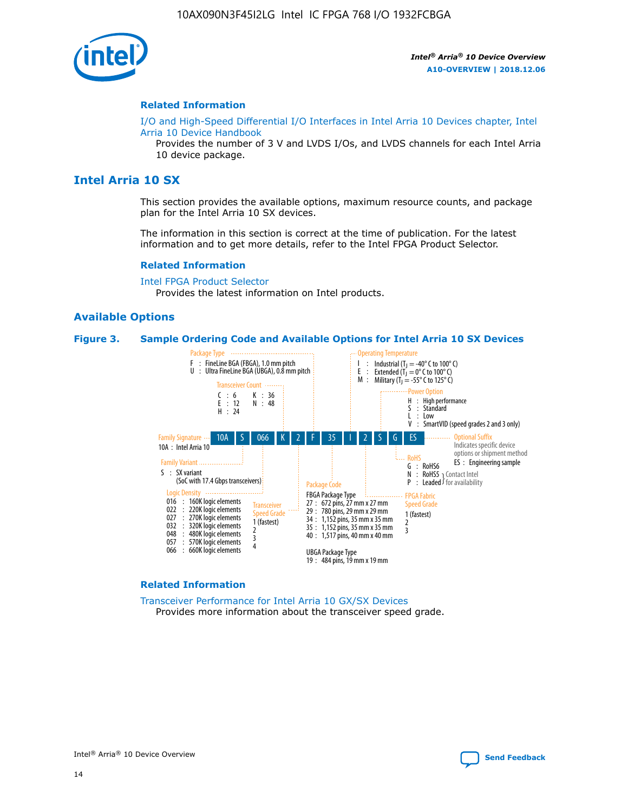

#### **Related Information**

[I/O and High-Speed Differential I/O Interfaces in Intel Arria 10 Devices chapter, Intel](https://www.intel.com/content/www/us/en/programmable/documentation/sam1403482614086.html#sam1403482030321) [Arria 10 Device Handbook](https://www.intel.com/content/www/us/en/programmable/documentation/sam1403482614086.html#sam1403482030321)

Provides the number of 3 V and LVDS I/Os, and LVDS channels for each Intel Arria 10 device package.

# **Intel Arria 10 SX**

This section provides the available options, maximum resource counts, and package plan for the Intel Arria 10 SX devices.

The information in this section is correct at the time of publication. For the latest information and to get more details, refer to the Intel FPGA Product Selector.

#### **Related Information**

[Intel FPGA Product Selector](http://www.altera.com/products/selector/psg-selector.html) Provides the latest information on Intel products.

#### **Available Options**

#### **Figure 3. Sample Ordering Code and Available Options for Intel Arria 10 SX Devices**



#### **Related Information**

[Transceiver Performance for Intel Arria 10 GX/SX Devices](https://www.intel.com/content/www/us/en/programmable/documentation/mcn1413182292568.html#mcn1413213965502) Provides more information about the transceiver speed grade.

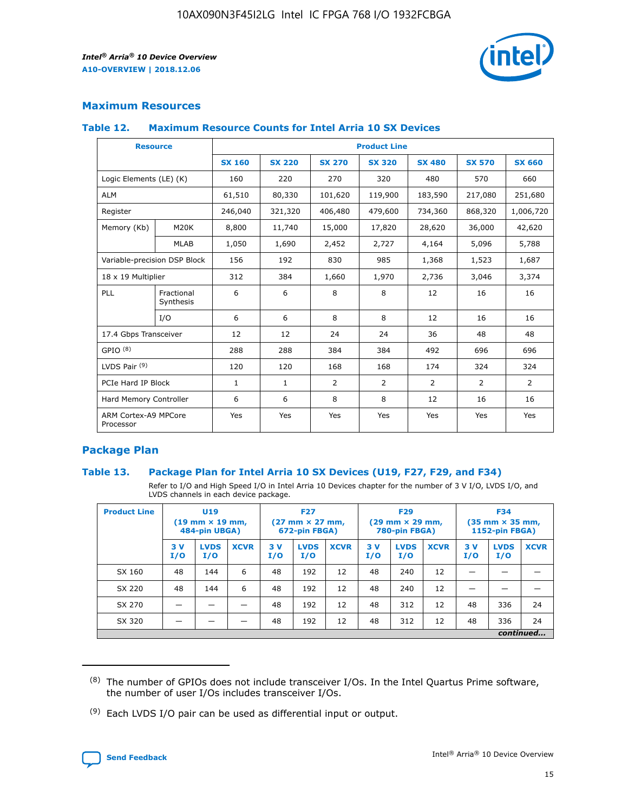

# **Maximum Resources**

#### **Table 12. Maximum Resource Counts for Intel Arria 10 SX Devices**

| <b>Resource</b>                   |                         | <b>Product Line</b> |               |                |                |                |                |                |  |  |
|-----------------------------------|-------------------------|---------------------|---------------|----------------|----------------|----------------|----------------|----------------|--|--|
|                                   |                         | <b>SX 160</b>       | <b>SX 220</b> | <b>SX 270</b>  | <b>SX 320</b>  | <b>SX 480</b>  | <b>SX 570</b>  | <b>SX 660</b>  |  |  |
| Logic Elements (LE) (K)           |                         | 160                 | 220           | 270            | 320            | 480            | 570            | 660            |  |  |
| <b>ALM</b>                        |                         | 61,510              | 80,330        | 101,620        | 119,900        | 183,590        | 217,080        | 251,680        |  |  |
| Register                          |                         | 246,040             | 321,320       | 406,480        | 479,600        | 734,360        | 868,320        | 1,006,720      |  |  |
| Memory (Kb)                       | M <sub>20</sub> K       | 8,800               | 11,740        | 15,000         | 17,820         | 28,620         | 36,000         | 42,620         |  |  |
|                                   | <b>MLAB</b>             | 1,050               | 1,690         | 2,452          | 2,727          | 4,164          | 5,096          | 5,788          |  |  |
| Variable-precision DSP Block      |                         | 156                 | 192           | 830            | 985            | 1,368          | 1,523          | 1,687          |  |  |
| 18 x 19 Multiplier                |                         | 312                 | 384           | 1,660          | 1,970          | 2,736          | 3,046          | 3,374          |  |  |
| PLL                               | Fractional<br>Synthesis | 6                   | 6             | 8              | 8              | 12             | 16             | 16             |  |  |
|                                   | I/O                     | 6                   | 6             | 8              | 8              | 12             | 16             | 16             |  |  |
| 17.4 Gbps Transceiver             |                         | 12                  | 12            | 24             | 24             | 36             | 48             | 48             |  |  |
| GPIO <sup>(8)</sup>               |                         | 288                 | 288           | 384            | 384            | 492            | 696            | 696            |  |  |
| LVDS Pair $(9)$                   |                         | 120                 | 120           | 168            | 168            | 174            | 324            | 324            |  |  |
| PCIe Hard IP Block                |                         | $\mathbf{1}$        | $\mathbf{1}$  | $\overline{2}$ | $\overline{2}$ | $\overline{2}$ | $\overline{2}$ | $\overline{2}$ |  |  |
| Hard Memory Controller            |                         | 6                   | 6             | 8              | 8              | 12             | 16             | 16             |  |  |
| ARM Cortex-A9 MPCore<br>Processor |                         | Yes                 | Yes           | Yes            | Yes            | Yes            | Yes            | Yes            |  |  |

# **Package Plan**

#### **Table 13. Package Plan for Intel Arria 10 SX Devices (U19, F27, F29, and F34)**

Refer to I/O and High Speed I/O in Intel Arria 10 Devices chapter for the number of 3 V I/O, LVDS I/O, and LVDS channels in each device package.

| <b>Product Line</b> | U <sub>19</sub><br>$(19 \text{ mm} \times 19 \text{ mm})$<br>484-pin UBGA) |                    | <b>F27</b><br>$(27 \text{ mm} \times 27 \text{ mm})$<br>672-pin FBGA) |           | <b>F29</b><br>$(29 \text{ mm} \times 29 \text{ mm})$<br>780-pin FBGA) |             |            | <b>F34</b><br>$(35 \text{ mm} \times 35 \text{ mm})$<br><b>1152-pin FBGA)</b> |             |           |                    |             |
|---------------------|----------------------------------------------------------------------------|--------------------|-----------------------------------------------------------------------|-----------|-----------------------------------------------------------------------|-------------|------------|-------------------------------------------------------------------------------|-------------|-----------|--------------------|-------------|
|                     | 3V<br>I/O                                                                  | <b>LVDS</b><br>I/O | <b>XCVR</b>                                                           | 3V<br>I/O | <b>LVDS</b><br>I/O                                                    | <b>XCVR</b> | 3 V<br>I/O | <b>LVDS</b><br>I/O                                                            | <b>XCVR</b> | 3V<br>I/O | <b>LVDS</b><br>I/O | <b>XCVR</b> |
| SX 160              | 48                                                                         | 144                | 6                                                                     | 48        | 192                                                                   | 12          | 48         | 240                                                                           | 12          | –         |                    |             |
| SX 220              | 48                                                                         | 144                | 6                                                                     | 48        | 192                                                                   | 12          | 48         | 240                                                                           | 12          |           |                    |             |
| SX 270              |                                                                            |                    |                                                                       | 48        | 192                                                                   | 12          | 48         | 312                                                                           | 12          | 48        | 336                | 24          |
| SX 320              |                                                                            |                    |                                                                       | 48        | 192                                                                   | 12          | 48         | 312                                                                           | 12          | 48        | 336                | 24          |
|                     | continued                                                                  |                    |                                                                       |           |                                                                       |             |            |                                                                               |             |           |                    |             |

 $(8)$  The number of GPIOs does not include transceiver I/Os. In the Intel Quartus Prime software, the number of user I/Os includes transceiver I/Os.

 $(9)$  Each LVDS I/O pair can be used as differential input or output.

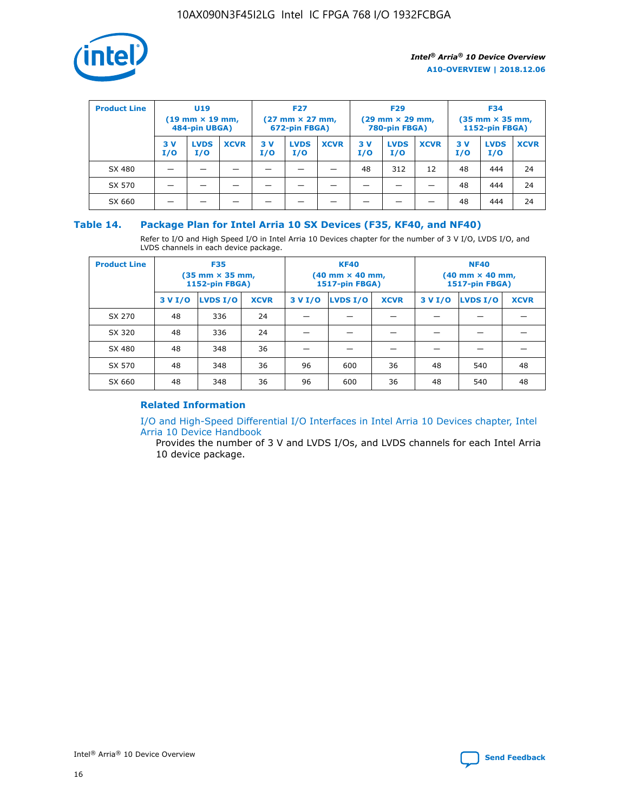

| <b>Product Line</b> | U <sub>19</sub><br>$(19$ mm $\times$ 19 mm,<br>484-pin UBGA) |                    | <b>F27</b><br>$(27 \text{ mm} \times 27 \text{ mm})$<br>672-pin FBGA) |           |                    | <b>F29</b><br>$(29 \text{ mm} \times 29 \text{ mm})$<br>780-pin FBGA) |           |                    | <b>F34</b><br>$(35$ mm $\times$ 35 mm,<br><b>1152-pin FBGA)</b> |           |                    |             |
|---------------------|--------------------------------------------------------------|--------------------|-----------------------------------------------------------------------|-----------|--------------------|-----------------------------------------------------------------------|-----------|--------------------|-----------------------------------------------------------------|-----------|--------------------|-------------|
|                     | 3 V<br>I/O                                                   | <b>LVDS</b><br>I/O | <b>XCVR</b>                                                           | 3V<br>I/O | <b>LVDS</b><br>I/O | <b>XCVR</b>                                                           | 3V<br>I/O | <b>LVDS</b><br>I/O | <b>XCVR</b>                                                     | 3V<br>I/O | <b>LVDS</b><br>I/O | <b>XCVR</b> |
| SX 480              |                                                              |                    |                                                                       |           |                    |                                                                       | 48        | 312                | 12                                                              | 48        | 444                | 24          |
| SX 570              |                                                              |                    |                                                                       |           |                    |                                                                       |           |                    |                                                                 | 48        | 444                | 24          |
| SX 660              |                                                              |                    |                                                                       |           |                    |                                                                       |           |                    |                                                                 | 48        | 444                | 24          |

## **Table 14. Package Plan for Intel Arria 10 SX Devices (F35, KF40, and NF40)**

Refer to I/O and High Speed I/O in Intel Arria 10 Devices chapter for the number of 3 V I/O, LVDS I/O, and LVDS channels in each device package.

| <b>Product Line</b> | <b>F35</b><br>$(35 \text{ mm} \times 35 \text{ mm})$<br><b>1152-pin FBGA)</b> |          |             |                                           | <b>KF40</b><br>(40 mm × 40 mm,<br>1517-pin FBGA) |    | <b>NF40</b><br>$(40 \text{ mm} \times 40 \text{ mm})$<br>1517-pin FBGA) |          |             |  |
|---------------------|-------------------------------------------------------------------------------|----------|-------------|-------------------------------------------|--------------------------------------------------|----|-------------------------------------------------------------------------|----------|-------------|--|
|                     | 3 V I/O                                                                       | LVDS I/O | <b>XCVR</b> | <b>LVDS I/O</b><br><b>XCVR</b><br>3 V I/O |                                                  |    | 3 V I/O                                                                 | LVDS I/O | <b>XCVR</b> |  |
| SX 270              | 48                                                                            | 336      | 24          |                                           |                                                  |    |                                                                         |          |             |  |
| SX 320              | 48                                                                            | 336      | 24          |                                           |                                                  |    |                                                                         |          |             |  |
| SX 480              | 48                                                                            | 348      | 36          |                                           |                                                  |    |                                                                         |          |             |  |
| SX 570              | 48                                                                            | 348      | 36          | 96                                        | 600                                              | 36 | 48                                                                      | 540      | 48          |  |
| SX 660              | 48                                                                            | 348      | 36          | 96                                        | 600                                              | 36 | 48                                                                      | 540      | 48          |  |

# **Related Information**

[I/O and High-Speed Differential I/O Interfaces in Intel Arria 10 Devices chapter, Intel](https://www.intel.com/content/www/us/en/programmable/documentation/sam1403482614086.html#sam1403482030321) [Arria 10 Device Handbook](https://www.intel.com/content/www/us/en/programmable/documentation/sam1403482614086.html#sam1403482030321)

Provides the number of 3 V and LVDS I/Os, and LVDS channels for each Intel Arria 10 device package.

Intel<sup>®</sup> Arria<sup>®</sup> 10 Device Overview **[Send Feedback](mailto:FPGAtechdocfeedback@intel.com?subject=Feedback%20on%20Intel%20Arria%2010%20Device%20Overview%20(A10-OVERVIEW%202018.12.06)&body=We%20appreciate%20your%20feedback.%20In%20your%20comments,%20also%20specify%20the%20page%20number%20or%20paragraph.%20Thank%20you.)** Send Feedback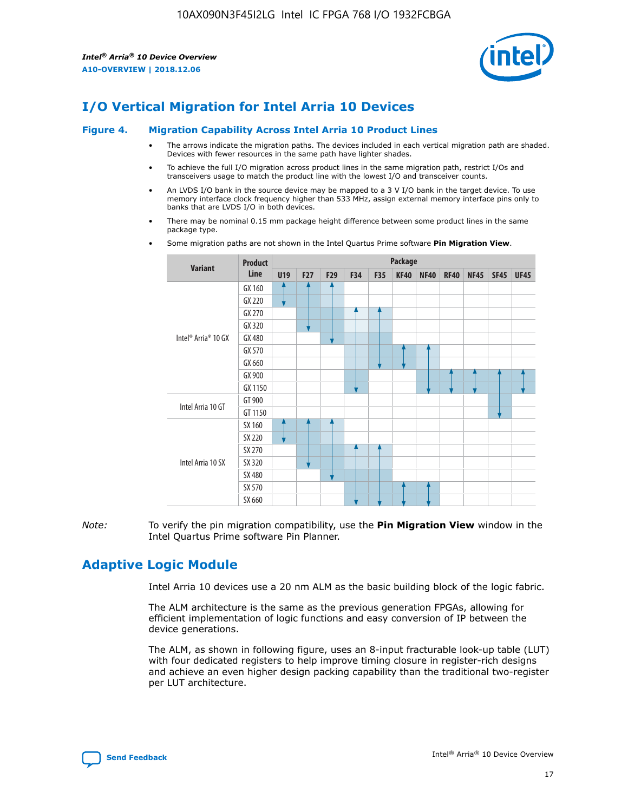

# **I/O Vertical Migration for Intel Arria 10 Devices**

#### **Figure 4. Migration Capability Across Intel Arria 10 Product Lines**

- The arrows indicate the migration paths. The devices included in each vertical migration path are shaded. Devices with fewer resources in the same path have lighter shades.
- To achieve the full I/O migration across product lines in the same migration path, restrict I/Os and transceivers usage to match the product line with the lowest I/O and transceiver counts.
- An LVDS I/O bank in the source device may be mapped to a 3 V I/O bank in the target device. To use memory interface clock frequency higher than 533 MHz, assign external memory interface pins only to banks that are LVDS I/O in both devices.
- There may be nominal 0.15 mm package height difference between some product lines in the same package type.
	- **Variant Product Line Package U19 F27 F29 F34 F35 KF40 NF40 RF40 NF45 SF45 UF45** Intel® Arria® 10 GX GX 160 GX 220 GX 270 GX 320 GX 480 GX 570 GX 660 GX 900 GX 1150 Intel Arria 10 GT GT 900 GT 1150 Intel Arria 10 SX SX 160 SX 220 SX 270 SX 320 SX 480 SX 570 SX 660
- Some migration paths are not shown in the Intel Quartus Prime software **Pin Migration View**.

*Note:* To verify the pin migration compatibility, use the **Pin Migration View** window in the Intel Quartus Prime software Pin Planner.

# **Adaptive Logic Module**

Intel Arria 10 devices use a 20 nm ALM as the basic building block of the logic fabric.

The ALM architecture is the same as the previous generation FPGAs, allowing for efficient implementation of logic functions and easy conversion of IP between the device generations.

The ALM, as shown in following figure, uses an 8-input fracturable look-up table (LUT) with four dedicated registers to help improve timing closure in register-rich designs and achieve an even higher design packing capability than the traditional two-register per LUT architecture.

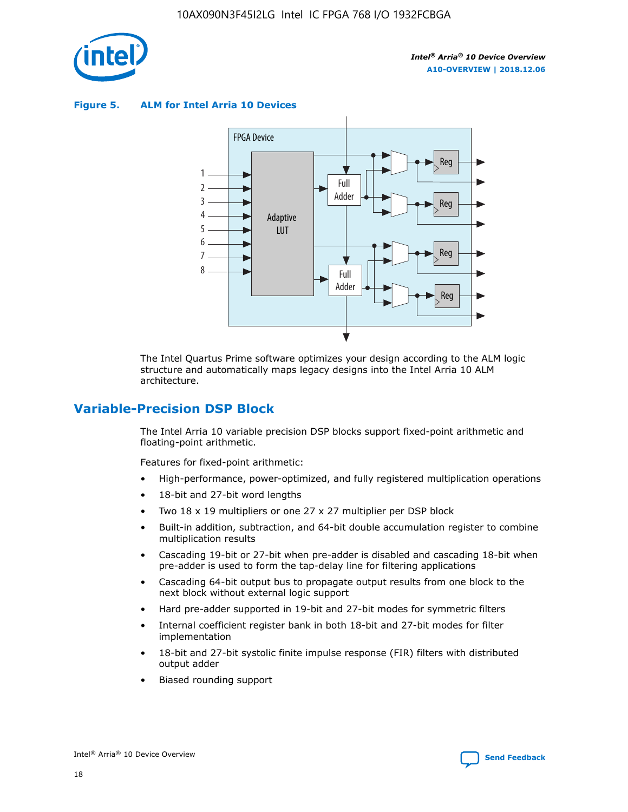

**Figure 5. ALM for Intel Arria 10 Devices**



The Intel Quartus Prime software optimizes your design according to the ALM logic structure and automatically maps legacy designs into the Intel Arria 10 ALM architecture.

# **Variable-Precision DSP Block**

The Intel Arria 10 variable precision DSP blocks support fixed-point arithmetic and floating-point arithmetic.

Features for fixed-point arithmetic:

- High-performance, power-optimized, and fully registered multiplication operations
- 18-bit and 27-bit word lengths
- Two 18 x 19 multipliers or one 27 x 27 multiplier per DSP block
- Built-in addition, subtraction, and 64-bit double accumulation register to combine multiplication results
- Cascading 19-bit or 27-bit when pre-adder is disabled and cascading 18-bit when pre-adder is used to form the tap-delay line for filtering applications
- Cascading 64-bit output bus to propagate output results from one block to the next block without external logic support
- Hard pre-adder supported in 19-bit and 27-bit modes for symmetric filters
- Internal coefficient register bank in both 18-bit and 27-bit modes for filter implementation
- 18-bit and 27-bit systolic finite impulse response (FIR) filters with distributed output adder
- Biased rounding support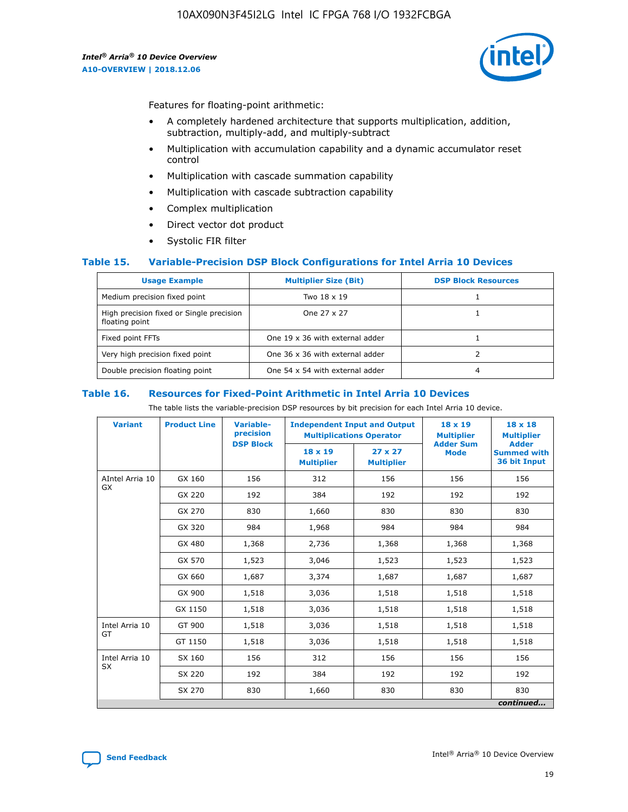

Features for floating-point arithmetic:

- A completely hardened architecture that supports multiplication, addition, subtraction, multiply-add, and multiply-subtract
- Multiplication with accumulation capability and a dynamic accumulator reset control
- Multiplication with cascade summation capability
- Multiplication with cascade subtraction capability
- Complex multiplication
- Direct vector dot product
- Systolic FIR filter

#### **Table 15. Variable-Precision DSP Block Configurations for Intel Arria 10 Devices**

| <b>Usage Example</b>                                       | <b>Multiplier Size (Bit)</b>    | <b>DSP Block Resources</b> |
|------------------------------------------------------------|---------------------------------|----------------------------|
| Medium precision fixed point                               | Two 18 x 19                     |                            |
| High precision fixed or Single precision<br>floating point | One 27 x 27                     |                            |
| Fixed point FFTs                                           | One 19 x 36 with external adder |                            |
| Very high precision fixed point                            | One 36 x 36 with external adder |                            |
| Double precision floating point                            | One 54 x 54 with external adder | 4                          |

#### **Table 16. Resources for Fixed-Point Arithmetic in Intel Arria 10 Devices**

The table lists the variable-precision DSP resources by bit precision for each Intel Arria 10 device.

| <b>Variant</b>        | <b>Product Line</b> | Variable-<br>precision<br><b>DSP Block</b> | <b>Independent Input and Output</b><br><b>Multiplications Operator</b> |                                     | 18 x 19<br><b>Multiplier</b><br><b>Adder Sum</b> | $18 \times 18$<br><b>Multiplier</b><br><b>Adder</b> |
|-----------------------|---------------------|--------------------------------------------|------------------------------------------------------------------------|-------------------------------------|--------------------------------------------------|-----------------------------------------------------|
|                       |                     |                                            | 18 x 19<br><b>Multiplier</b>                                           | $27 \times 27$<br><b>Multiplier</b> | <b>Mode</b>                                      | <b>Summed with</b><br>36 bit Input                  |
| AIntel Arria 10<br>GX | GX 160              | 156                                        | 312                                                                    | 156                                 | 156                                              | 156                                                 |
|                       | GX 220              | 192                                        | 384                                                                    | 192                                 | 192                                              | 192                                                 |
|                       | GX 270              | 830                                        | 1,660                                                                  | 830                                 | 830                                              | 830                                                 |
|                       | GX 320              | 984                                        | 1,968                                                                  | 984                                 | 984                                              | 984                                                 |
|                       | GX 480              | 1,368                                      | 2,736                                                                  | 1,368                               | 1,368                                            | 1,368                                               |
|                       | GX 570              | 1,523                                      | 3,046                                                                  | 1,523                               | 1,523                                            | 1,523                                               |
|                       | GX 660              | 1,687                                      | 3,374                                                                  | 1,687                               | 1,687                                            | 1,687                                               |
|                       | GX 900              | 1,518                                      | 3,036                                                                  | 1,518                               | 1,518                                            | 1,518                                               |
|                       | GX 1150             | 1,518                                      | 3,036                                                                  | 1,518                               | 1,518                                            | 1,518                                               |
| Intel Arria 10        | GT 900              | 1,518                                      | 3,036                                                                  | 1,518                               | 1,518                                            | 1,518                                               |
| GT                    | GT 1150             | 1,518                                      | 3,036                                                                  | 1,518                               | 1,518                                            | 1,518                                               |
| Intel Arria 10        | SX 160              | 156                                        | 312                                                                    | 156                                 | 156                                              | 156                                                 |
| <b>SX</b>             | SX 220              | 192                                        | 384                                                                    | 192                                 | 192                                              | 192                                                 |
|                       | SX 270              | 830                                        | 1,660                                                                  | 830                                 | 830                                              | 830                                                 |
|                       |                     |                                            |                                                                        |                                     |                                                  | continued                                           |

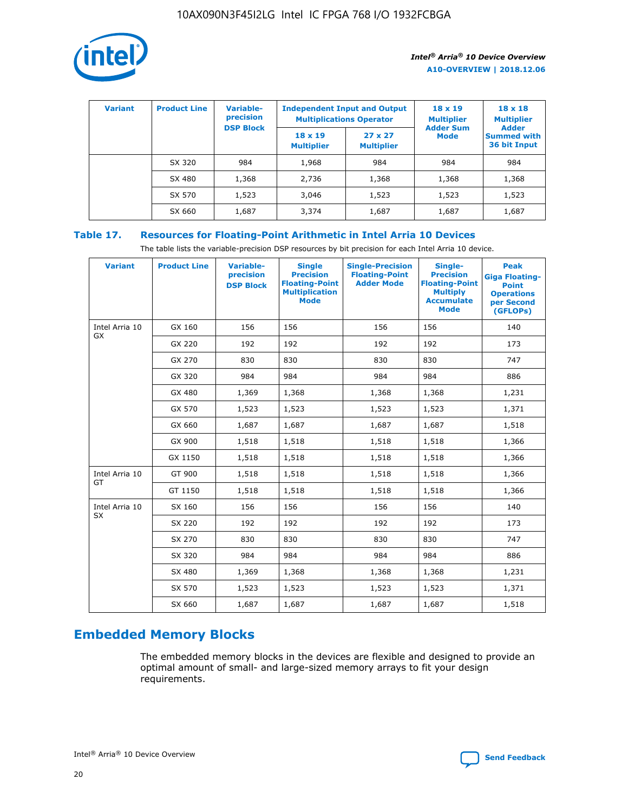

| <b>Variant</b> | <b>Product Line</b> | Variable-<br>precision | <b>Independent Input and Output</b><br><b>Multiplications Operator</b> |                                     | $18 \times 19$<br><b>Multiplier</b> | $18 \times 18$<br><b>Multiplier</b><br><b>Adder</b> |  |
|----------------|---------------------|------------------------|------------------------------------------------------------------------|-------------------------------------|-------------------------------------|-----------------------------------------------------|--|
|                |                     | <b>DSP Block</b>       | $18 \times 19$<br><b>Multiplier</b>                                    | $27 \times 27$<br><b>Multiplier</b> | <b>Adder Sum</b><br><b>Mode</b>     | <b>Summed with</b><br>36 bit Input                  |  |
|                | SX 320              | 984                    | 1,968                                                                  | 984                                 | 984                                 | 984                                                 |  |
|                | SX 480              | 1,368                  | 2,736                                                                  | 1,368                               | 1,368                               | 1,368                                               |  |
|                | SX 570              | 1,523                  | 3,046                                                                  | 1,523                               | 1,523                               | 1,523                                               |  |
|                | SX 660              | 1,687                  | 3,374                                                                  | 1,687                               | 1,687                               | 1,687                                               |  |

# **Table 17. Resources for Floating-Point Arithmetic in Intel Arria 10 Devices**

The table lists the variable-precision DSP resources by bit precision for each Intel Arria 10 device.

| <b>Variant</b> | <b>Product Line</b> | <b>Variable-</b><br>precision<br><b>DSP Block</b> | <b>Single</b><br><b>Precision</b><br><b>Floating-Point</b><br><b>Multiplication</b><br><b>Mode</b> | <b>Single-Precision</b><br><b>Floating-Point</b><br><b>Adder Mode</b> | Single-<br><b>Precision</b><br><b>Floating-Point</b><br><b>Multiply</b><br><b>Accumulate</b><br><b>Mode</b> | <b>Peak</b><br><b>Giga Floating-</b><br><b>Point</b><br><b>Operations</b><br>per Second<br>(GFLOPs) |
|----------------|---------------------|---------------------------------------------------|----------------------------------------------------------------------------------------------------|-----------------------------------------------------------------------|-------------------------------------------------------------------------------------------------------------|-----------------------------------------------------------------------------------------------------|
| Intel Arria 10 | GX 160              | 156                                               | 156                                                                                                | 156                                                                   | 156                                                                                                         | 140                                                                                                 |
| GX             | GX 220              | 192                                               | 192                                                                                                | 192                                                                   | 192                                                                                                         | 173                                                                                                 |
|                | GX 270              | 830                                               | 830                                                                                                | 830                                                                   | 830                                                                                                         | 747                                                                                                 |
|                | GX 320              | 984                                               | 984                                                                                                | 984                                                                   | 984                                                                                                         | 886                                                                                                 |
|                | GX 480              | 1,369                                             | 1,368                                                                                              | 1,368                                                                 | 1,368                                                                                                       | 1,231                                                                                               |
|                | GX 570              | 1,523                                             | 1,523                                                                                              | 1,523                                                                 | 1,523                                                                                                       | 1,371                                                                                               |
|                | GX 660              | 1,687                                             | 1,687                                                                                              | 1,687                                                                 | 1,687                                                                                                       | 1,518                                                                                               |
|                | GX 900              | 1,518                                             | 1,518                                                                                              | 1,518                                                                 | 1,518                                                                                                       | 1,366                                                                                               |
|                | GX 1150             | 1,518                                             | 1,518                                                                                              | 1,518                                                                 | 1,518                                                                                                       | 1,366                                                                                               |
| Intel Arria 10 | GT 900              | 1,518                                             | 1,518                                                                                              | 1,518                                                                 | 1,518                                                                                                       | 1,366                                                                                               |
| GT             | GT 1150             | 1,518                                             | 1,518                                                                                              | 1,518                                                                 | 1,518                                                                                                       | 1,366                                                                                               |
| Intel Arria 10 | SX 160              | 156                                               | 156                                                                                                | 156                                                                   | 156                                                                                                         | 140                                                                                                 |
| <b>SX</b>      | SX 220              | 192                                               | 192                                                                                                | 192                                                                   | 192                                                                                                         | 173                                                                                                 |
|                | SX 270              | 830                                               | 830                                                                                                | 830                                                                   | 830                                                                                                         | 747                                                                                                 |
|                | SX 320              | 984                                               | 984                                                                                                | 984                                                                   | 984                                                                                                         | 886                                                                                                 |
|                | SX 480              | 1,369                                             | 1,368                                                                                              | 1,368                                                                 | 1,368                                                                                                       | 1,231                                                                                               |
|                | SX 570              | 1,523                                             | 1,523                                                                                              | 1,523                                                                 | 1,523                                                                                                       | 1,371                                                                                               |
|                | SX 660              | 1,687                                             | 1,687                                                                                              | 1,687                                                                 | 1,687                                                                                                       | 1,518                                                                                               |

# **Embedded Memory Blocks**

The embedded memory blocks in the devices are flexible and designed to provide an optimal amount of small- and large-sized memory arrays to fit your design requirements.

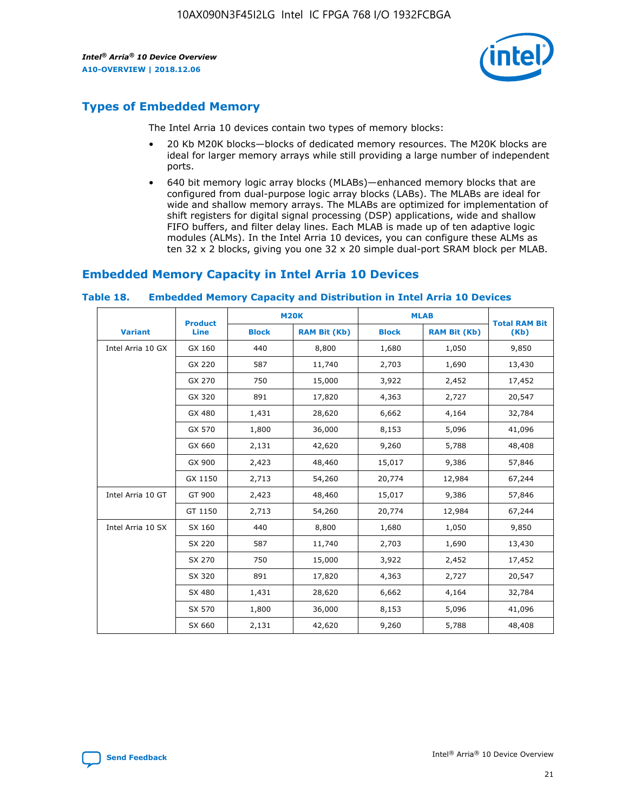

# **Types of Embedded Memory**

The Intel Arria 10 devices contain two types of memory blocks:

- 20 Kb M20K blocks—blocks of dedicated memory resources. The M20K blocks are ideal for larger memory arrays while still providing a large number of independent ports.
- 640 bit memory logic array blocks (MLABs)—enhanced memory blocks that are configured from dual-purpose logic array blocks (LABs). The MLABs are ideal for wide and shallow memory arrays. The MLABs are optimized for implementation of shift registers for digital signal processing (DSP) applications, wide and shallow FIFO buffers, and filter delay lines. Each MLAB is made up of ten adaptive logic modules (ALMs). In the Intel Arria 10 devices, you can configure these ALMs as ten 32 x 2 blocks, giving you one 32 x 20 simple dual-port SRAM block per MLAB.

# **Embedded Memory Capacity in Intel Arria 10 Devices**

|                   | <b>Product</b> |              | <b>M20K</b>         | <b>MLAB</b>  |                     | <b>Total RAM Bit</b> |
|-------------------|----------------|--------------|---------------------|--------------|---------------------|----------------------|
| <b>Variant</b>    | Line           | <b>Block</b> | <b>RAM Bit (Kb)</b> | <b>Block</b> | <b>RAM Bit (Kb)</b> | (Kb)                 |
| Intel Arria 10 GX | GX 160         | 440          | 8,800               | 1,680        | 1,050               | 9,850                |
|                   | GX 220         | 587          | 11,740              | 2,703        | 1,690               | 13,430               |
|                   | GX 270         | 750          | 15,000              | 3,922        | 2,452               | 17,452               |
|                   | GX 320         | 891          | 17,820              | 4,363        | 2,727               | 20,547               |
|                   | GX 480         | 1,431        | 28,620              | 6,662        | 4,164               | 32,784               |
|                   | GX 570         | 1,800        | 36,000              | 8,153        | 5,096               | 41,096               |
|                   | GX 660         | 2,131        | 42,620              | 9,260        | 5,788               | 48,408               |
|                   | GX 900         | 2,423        | 48,460              | 15,017       | 9,386               | 57,846               |
|                   | GX 1150        | 2,713        | 54,260              | 20,774       | 12,984              | 67,244               |
| Intel Arria 10 GT | GT 900         | 2,423        | 48,460              | 15,017       | 9,386               | 57,846               |
|                   | GT 1150        | 2,713        | 54,260              | 20,774       | 12,984              | 67,244               |
| Intel Arria 10 SX | SX 160         | 440          | 8,800               | 1,680        | 1,050               | 9,850                |
|                   | SX 220         | 587          | 11,740              | 2,703        | 1,690               | 13,430               |
|                   | SX 270         | 750          | 15,000              | 3,922        | 2,452               | 17,452               |
|                   | SX 320         | 891          | 17,820              | 4,363        | 2,727               | 20,547               |
|                   | SX 480         | 1,431        | 28,620              | 6,662        | 4,164               | 32,784               |
|                   | SX 570         | 1,800        | 36,000              | 8,153        | 5,096               | 41,096               |
|                   | SX 660         | 2,131        | 42,620              | 9,260        | 5,788               | 48,408               |

#### **Table 18. Embedded Memory Capacity and Distribution in Intel Arria 10 Devices**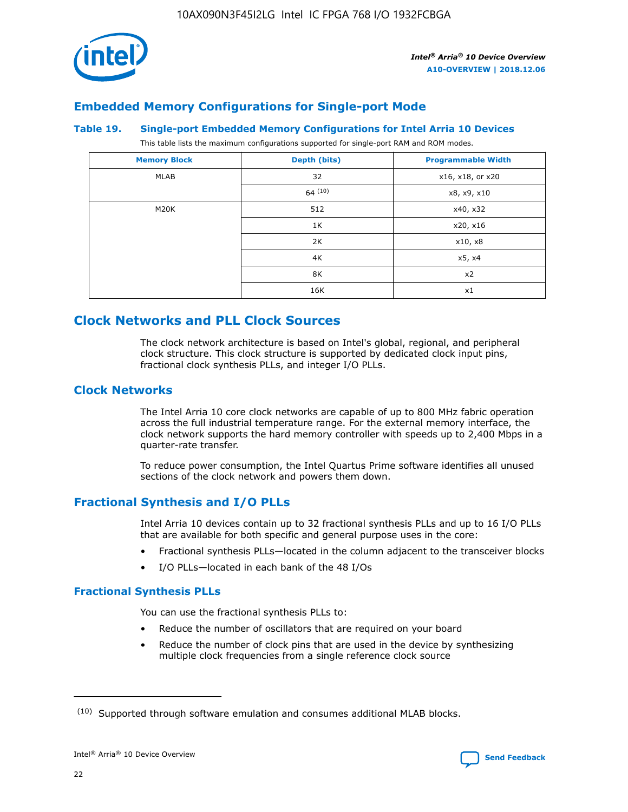

# **Embedded Memory Configurations for Single-port Mode**

#### **Table 19. Single-port Embedded Memory Configurations for Intel Arria 10 Devices**

This table lists the maximum configurations supported for single-port RAM and ROM modes.

| <b>Memory Block</b> | Depth (bits) | <b>Programmable Width</b> |
|---------------------|--------------|---------------------------|
| MLAB                | 32           | x16, x18, or x20          |
|                     | 64(10)       | x8, x9, x10               |
| M20K                | 512          | x40, x32                  |
|                     | 1K           | x20, x16                  |
|                     | 2K           | x10, x8                   |
|                     | 4K           | x5, x4                    |
|                     | 8K           | x2                        |
|                     | 16K          | x1                        |

# **Clock Networks and PLL Clock Sources**

The clock network architecture is based on Intel's global, regional, and peripheral clock structure. This clock structure is supported by dedicated clock input pins, fractional clock synthesis PLLs, and integer I/O PLLs.

# **Clock Networks**

The Intel Arria 10 core clock networks are capable of up to 800 MHz fabric operation across the full industrial temperature range. For the external memory interface, the clock network supports the hard memory controller with speeds up to 2,400 Mbps in a quarter-rate transfer.

To reduce power consumption, the Intel Quartus Prime software identifies all unused sections of the clock network and powers them down.

# **Fractional Synthesis and I/O PLLs**

Intel Arria 10 devices contain up to 32 fractional synthesis PLLs and up to 16 I/O PLLs that are available for both specific and general purpose uses in the core:

- Fractional synthesis PLLs—located in the column adjacent to the transceiver blocks
- I/O PLLs—located in each bank of the 48 I/Os

# **Fractional Synthesis PLLs**

You can use the fractional synthesis PLLs to:

- Reduce the number of oscillators that are required on your board
- Reduce the number of clock pins that are used in the device by synthesizing multiple clock frequencies from a single reference clock source

<sup>(10)</sup> Supported through software emulation and consumes additional MLAB blocks.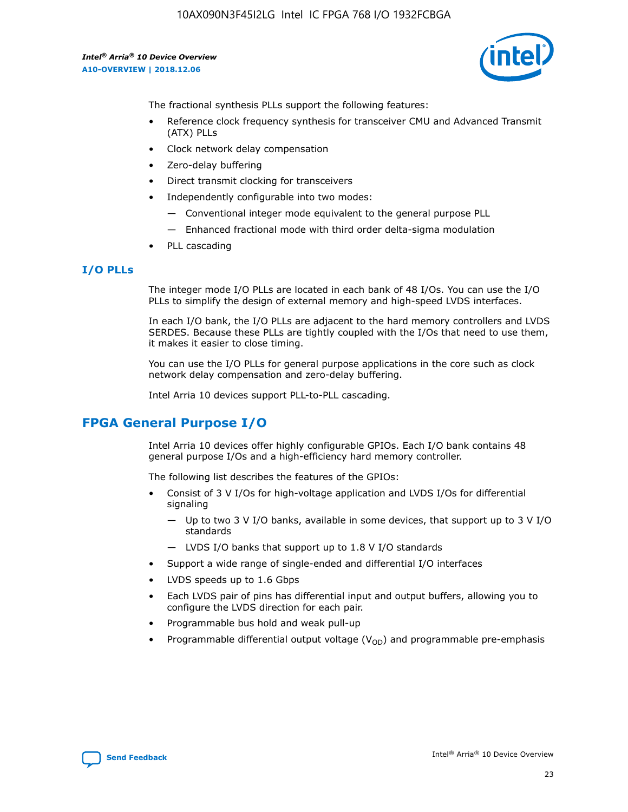

The fractional synthesis PLLs support the following features:

- Reference clock frequency synthesis for transceiver CMU and Advanced Transmit (ATX) PLLs
- Clock network delay compensation
- Zero-delay buffering
- Direct transmit clocking for transceivers
- Independently configurable into two modes:
	- Conventional integer mode equivalent to the general purpose PLL
	- Enhanced fractional mode with third order delta-sigma modulation
- PLL cascading

#### **I/O PLLs**

The integer mode I/O PLLs are located in each bank of 48 I/Os. You can use the I/O PLLs to simplify the design of external memory and high-speed LVDS interfaces.

In each I/O bank, the I/O PLLs are adjacent to the hard memory controllers and LVDS SERDES. Because these PLLs are tightly coupled with the I/Os that need to use them, it makes it easier to close timing.

You can use the I/O PLLs for general purpose applications in the core such as clock network delay compensation and zero-delay buffering.

Intel Arria 10 devices support PLL-to-PLL cascading.

# **FPGA General Purpose I/O**

Intel Arria 10 devices offer highly configurable GPIOs. Each I/O bank contains 48 general purpose I/Os and a high-efficiency hard memory controller.

The following list describes the features of the GPIOs:

- Consist of 3 V I/Os for high-voltage application and LVDS I/Os for differential signaling
	- Up to two 3 V I/O banks, available in some devices, that support up to 3 V I/O standards
	- LVDS I/O banks that support up to 1.8 V I/O standards
- Support a wide range of single-ended and differential I/O interfaces
- LVDS speeds up to 1.6 Gbps
- Each LVDS pair of pins has differential input and output buffers, allowing you to configure the LVDS direction for each pair.
- Programmable bus hold and weak pull-up
- Programmable differential output voltage  $(V_{OD})$  and programmable pre-emphasis

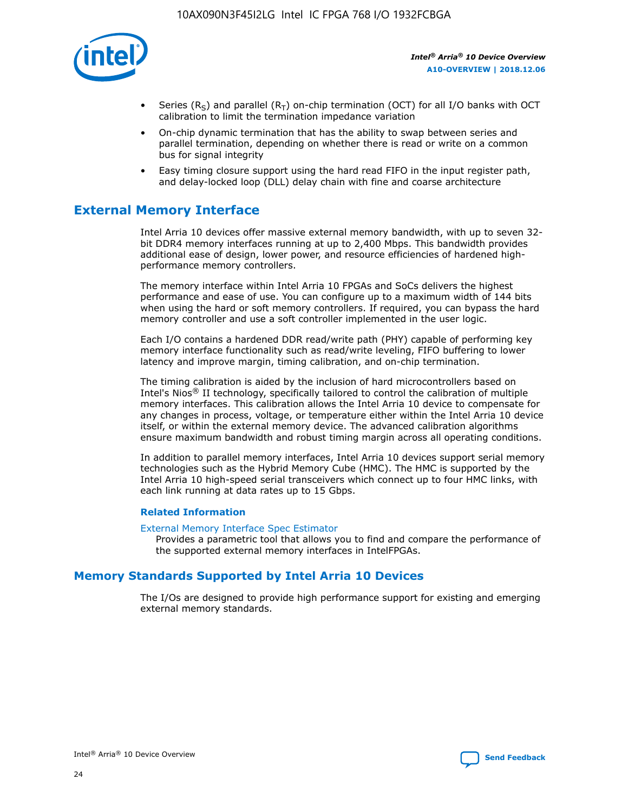

- Series (R<sub>S</sub>) and parallel (R<sub>T</sub>) on-chip termination (OCT) for all I/O banks with OCT calibration to limit the termination impedance variation
- On-chip dynamic termination that has the ability to swap between series and parallel termination, depending on whether there is read or write on a common bus for signal integrity
- Easy timing closure support using the hard read FIFO in the input register path, and delay-locked loop (DLL) delay chain with fine and coarse architecture

# **External Memory Interface**

Intel Arria 10 devices offer massive external memory bandwidth, with up to seven 32 bit DDR4 memory interfaces running at up to 2,400 Mbps. This bandwidth provides additional ease of design, lower power, and resource efficiencies of hardened highperformance memory controllers.

The memory interface within Intel Arria 10 FPGAs and SoCs delivers the highest performance and ease of use. You can configure up to a maximum width of 144 bits when using the hard or soft memory controllers. If required, you can bypass the hard memory controller and use a soft controller implemented in the user logic.

Each I/O contains a hardened DDR read/write path (PHY) capable of performing key memory interface functionality such as read/write leveling, FIFO buffering to lower latency and improve margin, timing calibration, and on-chip termination.

The timing calibration is aided by the inclusion of hard microcontrollers based on Intel's Nios® II technology, specifically tailored to control the calibration of multiple memory interfaces. This calibration allows the Intel Arria 10 device to compensate for any changes in process, voltage, or temperature either within the Intel Arria 10 device itself, or within the external memory device. The advanced calibration algorithms ensure maximum bandwidth and robust timing margin across all operating conditions.

In addition to parallel memory interfaces, Intel Arria 10 devices support serial memory technologies such as the Hybrid Memory Cube (HMC). The HMC is supported by the Intel Arria 10 high-speed serial transceivers which connect up to four HMC links, with each link running at data rates up to 15 Gbps.

#### **Related Information**

#### [External Memory Interface Spec Estimator](http://www.altera.com/technology/memory/estimator/mem-emif-index.html)

Provides a parametric tool that allows you to find and compare the performance of the supported external memory interfaces in IntelFPGAs.

# **Memory Standards Supported by Intel Arria 10 Devices**

The I/Os are designed to provide high performance support for existing and emerging external memory standards.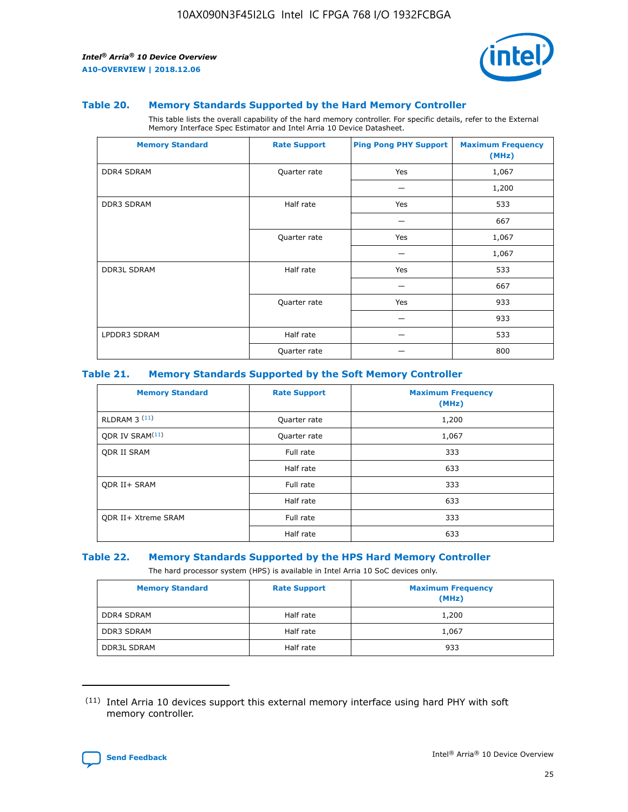

#### **Table 20. Memory Standards Supported by the Hard Memory Controller**

This table lists the overall capability of the hard memory controller. For specific details, refer to the External Memory Interface Spec Estimator and Intel Arria 10 Device Datasheet.

| <b>Memory Standard</b> | <b>Rate Support</b> | <b>Ping Pong PHY Support</b> | <b>Maximum Frequency</b><br>(MHz) |
|------------------------|---------------------|------------------------------|-----------------------------------|
| <b>DDR4 SDRAM</b>      | Quarter rate        | Yes                          | 1,067                             |
|                        |                     |                              | 1,200                             |
| DDR3 SDRAM             | Half rate           | Yes                          | 533                               |
|                        |                     |                              | 667                               |
|                        | Quarter rate        | Yes                          | 1,067                             |
|                        |                     |                              | 1,067                             |
| <b>DDR3L SDRAM</b>     | Half rate           | Yes                          | 533                               |
|                        |                     |                              | 667                               |
|                        | Quarter rate        | Yes                          | 933                               |
|                        |                     |                              | 933                               |
| LPDDR3 SDRAM           | Half rate           |                              | 533                               |
|                        | Quarter rate        |                              | 800                               |

#### **Table 21. Memory Standards Supported by the Soft Memory Controller**

| <b>Memory Standard</b>      | <b>Rate Support</b> | <b>Maximum Frequency</b><br>(MHz) |
|-----------------------------|---------------------|-----------------------------------|
| <b>RLDRAM 3 (11)</b>        | Quarter rate        | 1,200                             |
| ODR IV SRAM <sup>(11)</sup> | Quarter rate        | 1,067                             |
| <b>ODR II SRAM</b>          | Full rate           | 333                               |
|                             | Half rate           | 633                               |
| <b>ODR II+ SRAM</b>         | Full rate           | 333                               |
|                             | Half rate           | 633                               |
| <b>ODR II+ Xtreme SRAM</b>  | Full rate           | 333                               |
|                             | Half rate           | 633                               |

#### **Table 22. Memory Standards Supported by the HPS Hard Memory Controller**

The hard processor system (HPS) is available in Intel Arria 10 SoC devices only.

| <b>Memory Standard</b> | <b>Rate Support</b> | <b>Maximum Frequency</b><br>(MHz) |
|------------------------|---------------------|-----------------------------------|
| <b>DDR4 SDRAM</b>      | Half rate           | 1,200                             |
| <b>DDR3 SDRAM</b>      | Half rate           | 1,067                             |
| <b>DDR3L SDRAM</b>     | Half rate           | 933                               |

<sup>(11)</sup> Intel Arria 10 devices support this external memory interface using hard PHY with soft memory controller.

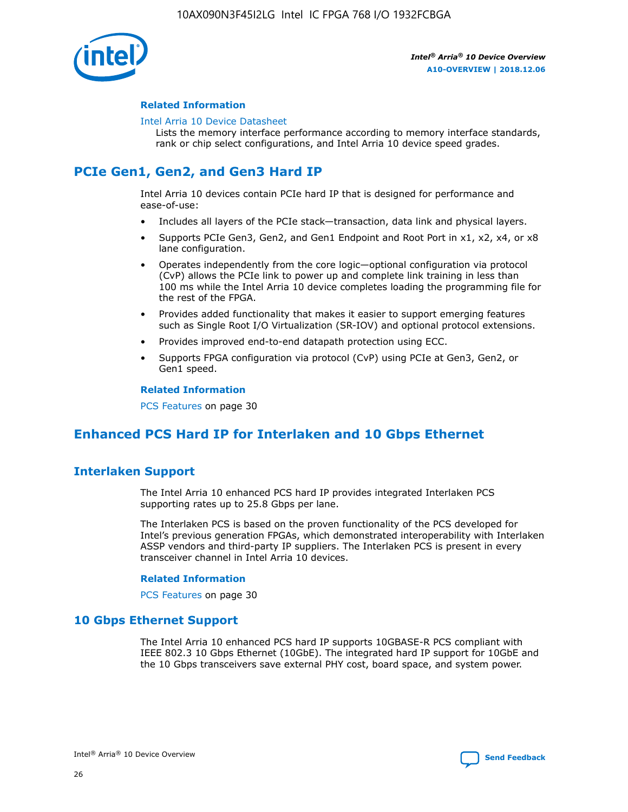

#### **Related Information**

#### [Intel Arria 10 Device Datasheet](https://www.intel.com/content/www/us/en/programmable/documentation/mcn1413182292568.html#mcn1413182153340)

Lists the memory interface performance according to memory interface standards, rank or chip select configurations, and Intel Arria 10 device speed grades.

# **PCIe Gen1, Gen2, and Gen3 Hard IP**

Intel Arria 10 devices contain PCIe hard IP that is designed for performance and ease-of-use:

- Includes all layers of the PCIe stack—transaction, data link and physical layers.
- Supports PCIe Gen3, Gen2, and Gen1 Endpoint and Root Port in x1, x2, x4, or x8 lane configuration.
- Operates independently from the core logic—optional configuration via protocol (CvP) allows the PCIe link to power up and complete link training in less than 100 ms while the Intel Arria 10 device completes loading the programming file for the rest of the FPGA.
- Provides added functionality that makes it easier to support emerging features such as Single Root I/O Virtualization (SR-IOV) and optional protocol extensions.
- Provides improved end-to-end datapath protection using ECC.
- Supports FPGA configuration via protocol (CvP) using PCIe at Gen3, Gen2, or Gen1 speed.

#### **Related Information**

PCS Features on page 30

# **Enhanced PCS Hard IP for Interlaken and 10 Gbps Ethernet**

# **Interlaken Support**

The Intel Arria 10 enhanced PCS hard IP provides integrated Interlaken PCS supporting rates up to 25.8 Gbps per lane.

The Interlaken PCS is based on the proven functionality of the PCS developed for Intel's previous generation FPGAs, which demonstrated interoperability with Interlaken ASSP vendors and third-party IP suppliers. The Interlaken PCS is present in every transceiver channel in Intel Arria 10 devices.

#### **Related Information**

PCS Features on page 30

# **10 Gbps Ethernet Support**

The Intel Arria 10 enhanced PCS hard IP supports 10GBASE-R PCS compliant with IEEE 802.3 10 Gbps Ethernet (10GbE). The integrated hard IP support for 10GbE and the 10 Gbps transceivers save external PHY cost, board space, and system power.

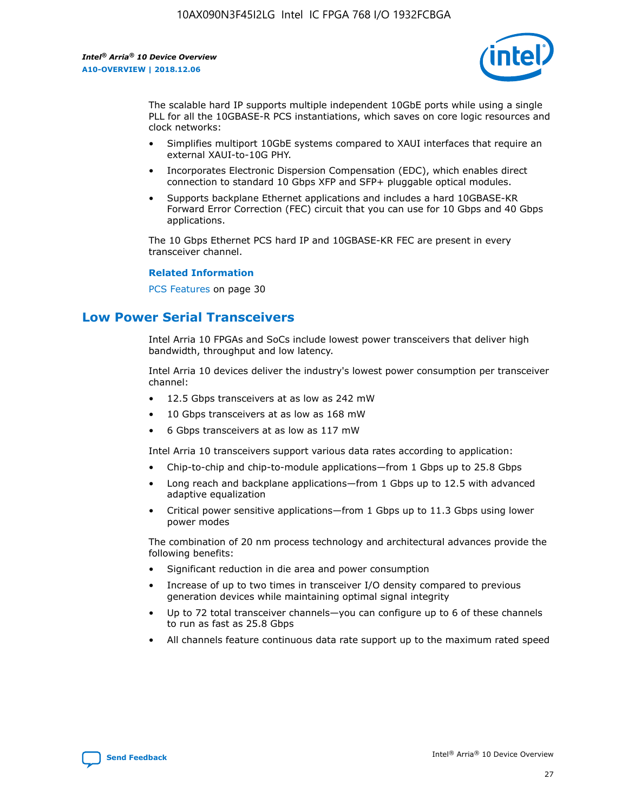

The scalable hard IP supports multiple independent 10GbE ports while using a single PLL for all the 10GBASE-R PCS instantiations, which saves on core logic resources and clock networks:

- Simplifies multiport 10GbE systems compared to XAUI interfaces that require an external XAUI-to-10G PHY.
- Incorporates Electronic Dispersion Compensation (EDC), which enables direct connection to standard 10 Gbps XFP and SFP+ pluggable optical modules.
- Supports backplane Ethernet applications and includes a hard 10GBASE-KR Forward Error Correction (FEC) circuit that you can use for 10 Gbps and 40 Gbps applications.

The 10 Gbps Ethernet PCS hard IP and 10GBASE-KR FEC are present in every transceiver channel.

#### **Related Information**

PCS Features on page 30

# **Low Power Serial Transceivers**

Intel Arria 10 FPGAs and SoCs include lowest power transceivers that deliver high bandwidth, throughput and low latency.

Intel Arria 10 devices deliver the industry's lowest power consumption per transceiver channel:

- 12.5 Gbps transceivers at as low as 242 mW
- 10 Gbps transceivers at as low as 168 mW
- 6 Gbps transceivers at as low as 117 mW

Intel Arria 10 transceivers support various data rates according to application:

- Chip-to-chip and chip-to-module applications—from 1 Gbps up to 25.8 Gbps
- Long reach and backplane applications—from 1 Gbps up to 12.5 with advanced adaptive equalization
- Critical power sensitive applications—from 1 Gbps up to 11.3 Gbps using lower power modes

The combination of 20 nm process technology and architectural advances provide the following benefits:

- Significant reduction in die area and power consumption
- Increase of up to two times in transceiver I/O density compared to previous generation devices while maintaining optimal signal integrity
- Up to 72 total transceiver channels—you can configure up to 6 of these channels to run as fast as 25.8 Gbps
- All channels feature continuous data rate support up to the maximum rated speed

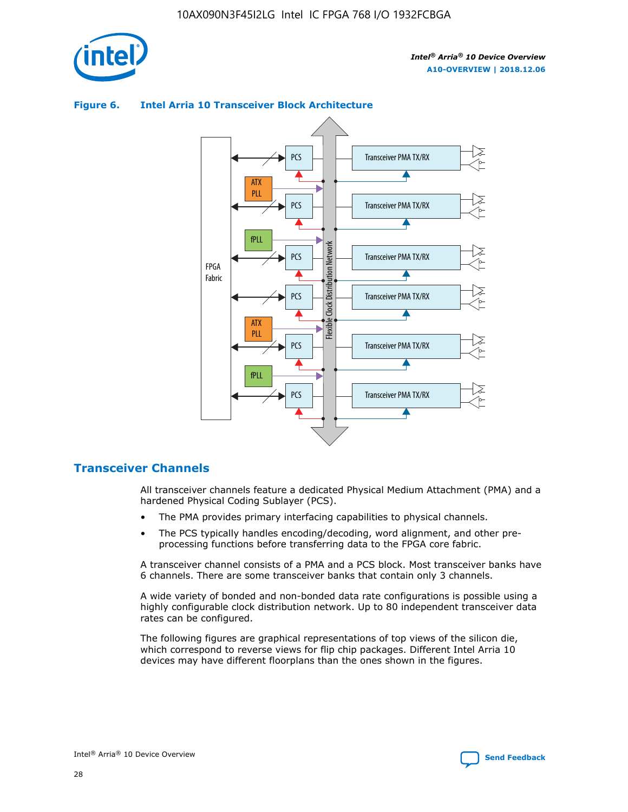

## **Figure 6. Intel Arria 10 Transceiver Block Architecture** Transceiver PMA TX/RX PCS ATX PLL Transceiver PMA TX/RX PCS fPLL Network Flexible Clock Distribution Network PCS Transceiver PMA TX/RX FPGA **Clock Distribution** Fabric PCS Transceiver PMA TX/RX ATX Flexible PLL PCS Transceiver PMA TX/RX ▲ fPLL Transceiver PMA TX/RX PCS 4

# **Transceiver Channels**

All transceiver channels feature a dedicated Physical Medium Attachment (PMA) and a hardened Physical Coding Sublayer (PCS).

- The PMA provides primary interfacing capabilities to physical channels.
- The PCS typically handles encoding/decoding, word alignment, and other preprocessing functions before transferring data to the FPGA core fabric.

A transceiver channel consists of a PMA and a PCS block. Most transceiver banks have 6 channels. There are some transceiver banks that contain only 3 channels.

A wide variety of bonded and non-bonded data rate configurations is possible using a highly configurable clock distribution network. Up to 80 independent transceiver data rates can be configured.

The following figures are graphical representations of top views of the silicon die, which correspond to reverse views for flip chip packages. Different Intel Arria 10 devices may have different floorplans than the ones shown in the figures.

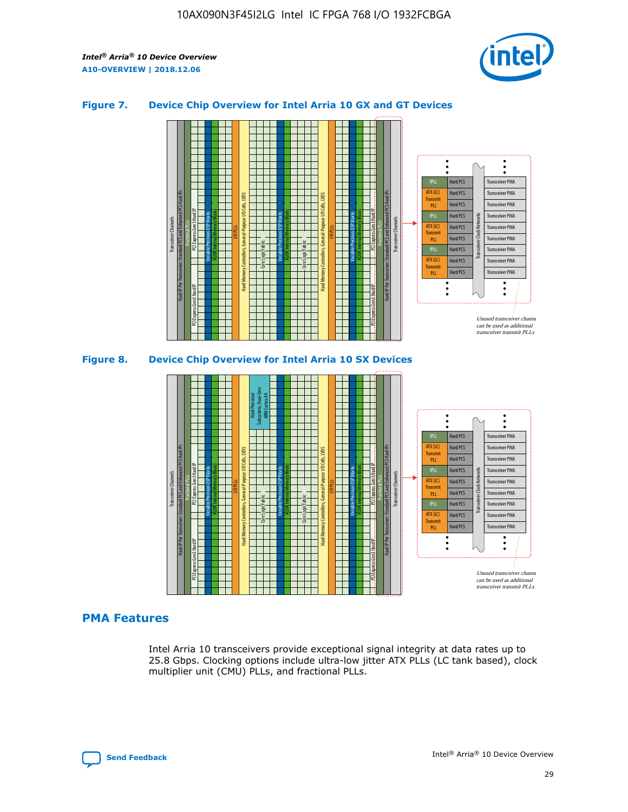

## **Figure 7. Device Chip Overview for Intel Arria 10 GX and GT Devices**



M20K Internal Memory Blocks Core Logic Fabric Transceiver Channels Hard IP Per Transceiver: Standard PCS and Enhanced PCS Hard IPs PCI Express Gen3 Hard IP Fractional PLLs M20K Internal Memory Blocks PCI Express Gen3 Hard IP Variable Precision DSP Blocks I/O PLLs Hard Memory Controllers, General-Purpose I/O Cells, LVDS Hard Processor Subsystem, Dual-Core ARM Cortex A9 M20K Internal Memory Blocks Variable Precision DSP Blocks M20K Internal Memory Blocks Core Logic Fabric I/O PLLs Hard Memory Controllers, General-Purpose I/O Cells, LVDS M20K Internal Memory Blocks Variable Precision DSP Blocks M20K Internal Memory Blocks Transceiver Channels Hard IP Per Transceiver: Standard PCS and Enhanced PCS Hard IPs PCI Express Gen3 Hard IP Fractional PLLs PCI Express Gen3 Hard IP  $\ddot{\cdot}$ Hard PCS Transceiver PMA fPLL ATX (LC) Hard PCS Transceiver PMA **Transmit** Hard PCS Transceiver PMA PLL fPLL Hard PCS Transceiver PMA Transceiver Clock Networks ATX (LC) Hard PCS Transceiver PMA Transmi Hard PCS Transceiver PMA PLL fPLL Hard PCS Transceiver PMA Transceiver PMA Hard PCS ATX (LC) **Transmit** Hard PCS Transceiver PMA PLL Unused transceiver chann can be used as additional transceiver transmit PLLs

#### **PMA Features**

Intel Arria 10 transceivers provide exceptional signal integrity at data rates up to 25.8 Gbps. Clocking options include ultra-low jitter ATX PLLs (LC tank based), clock multiplier unit (CMU) PLLs, and fractional PLLs.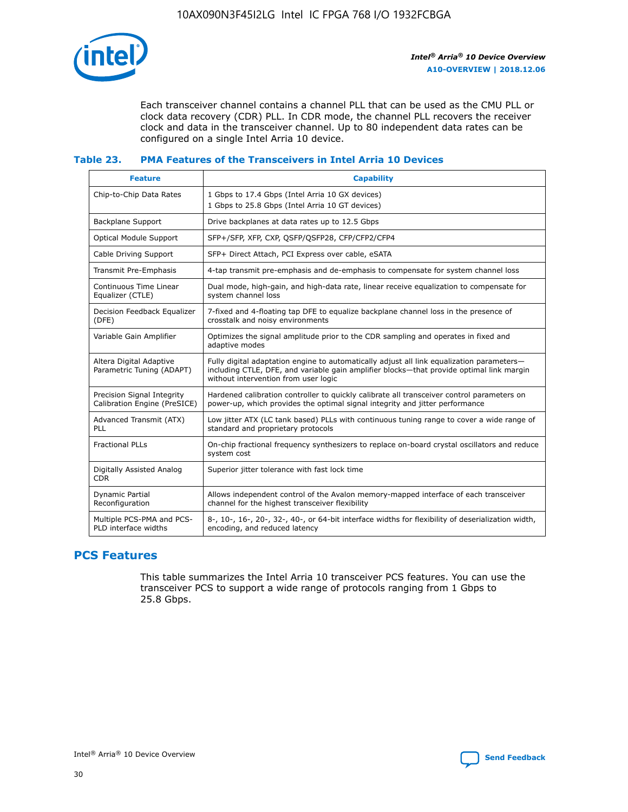

Each transceiver channel contains a channel PLL that can be used as the CMU PLL or clock data recovery (CDR) PLL. In CDR mode, the channel PLL recovers the receiver clock and data in the transceiver channel. Up to 80 independent data rates can be configured on a single Intel Arria 10 device.

## **Table 23. PMA Features of the Transceivers in Intel Arria 10 Devices**

| <b>Feature</b>                                             | <b>Capability</b>                                                                                                                                                                                                             |
|------------------------------------------------------------|-------------------------------------------------------------------------------------------------------------------------------------------------------------------------------------------------------------------------------|
| Chip-to-Chip Data Rates                                    | 1 Gbps to 17.4 Gbps (Intel Arria 10 GX devices)<br>1 Gbps to 25.8 Gbps (Intel Arria 10 GT devices)                                                                                                                            |
| Backplane Support                                          | Drive backplanes at data rates up to 12.5 Gbps                                                                                                                                                                                |
| Optical Module Support                                     | SFP+/SFP, XFP, CXP, QSFP/QSFP28, CFP/CFP2/CFP4                                                                                                                                                                                |
| Cable Driving Support                                      | SFP+ Direct Attach, PCI Express over cable, eSATA                                                                                                                                                                             |
| Transmit Pre-Emphasis                                      | 4-tap transmit pre-emphasis and de-emphasis to compensate for system channel loss                                                                                                                                             |
| Continuous Time Linear<br>Equalizer (CTLE)                 | Dual mode, high-gain, and high-data rate, linear receive equalization to compensate for<br>system channel loss                                                                                                                |
| Decision Feedback Equalizer<br>(DFE)                       | 7-fixed and 4-floating tap DFE to equalize backplane channel loss in the presence of<br>crosstalk and noisy environments                                                                                                      |
| Variable Gain Amplifier                                    | Optimizes the signal amplitude prior to the CDR sampling and operates in fixed and<br>adaptive modes                                                                                                                          |
| Altera Digital Adaptive<br>Parametric Tuning (ADAPT)       | Fully digital adaptation engine to automatically adjust all link equalization parameters-<br>including CTLE, DFE, and variable gain amplifier blocks—that provide optimal link margin<br>without intervention from user logic |
| Precision Signal Integrity<br>Calibration Engine (PreSICE) | Hardened calibration controller to quickly calibrate all transceiver control parameters on<br>power-up, which provides the optimal signal integrity and jitter performance                                                    |
| Advanced Transmit (ATX)<br><b>PLL</b>                      | Low jitter ATX (LC tank based) PLLs with continuous tuning range to cover a wide range of<br>standard and proprietary protocols                                                                                               |
| <b>Fractional PLLs</b>                                     | On-chip fractional frequency synthesizers to replace on-board crystal oscillators and reduce<br>system cost                                                                                                                   |
| Digitally Assisted Analog<br><b>CDR</b>                    | Superior jitter tolerance with fast lock time                                                                                                                                                                                 |
| Dynamic Partial<br>Reconfiguration                         | Allows independent control of the Avalon memory-mapped interface of each transceiver<br>channel for the highest transceiver flexibility                                                                                       |
| Multiple PCS-PMA and PCS-<br>PLD interface widths          | 8-, 10-, 16-, 20-, 32-, 40-, or 64-bit interface widths for flexibility of deserialization width,<br>encoding, and reduced latency                                                                                            |

# **PCS Features**

This table summarizes the Intel Arria 10 transceiver PCS features. You can use the transceiver PCS to support a wide range of protocols ranging from 1 Gbps to 25.8 Gbps.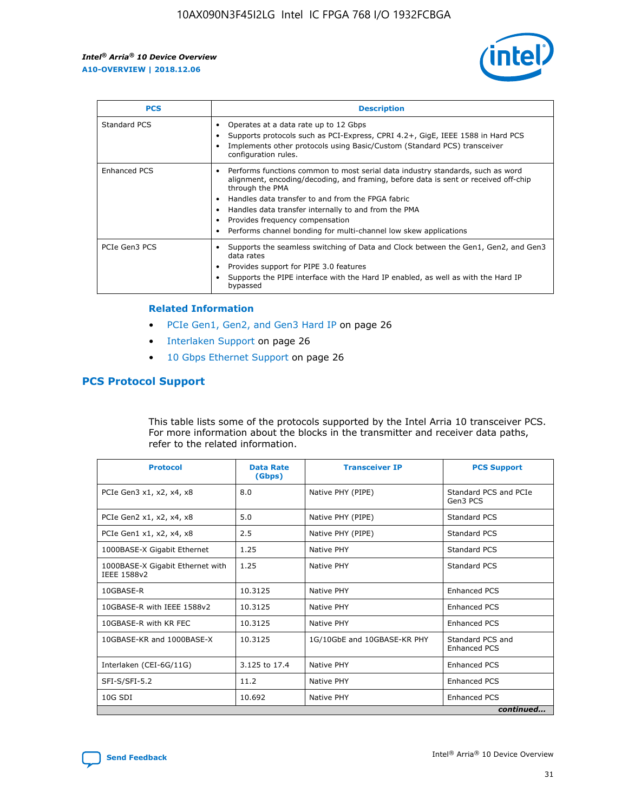

| <b>PCS</b>    | <b>Description</b>                                                                                                                                                                                                                                                                                                                                                                                             |
|---------------|----------------------------------------------------------------------------------------------------------------------------------------------------------------------------------------------------------------------------------------------------------------------------------------------------------------------------------------------------------------------------------------------------------------|
| Standard PCS  | Operates at a data rate up to 12 Gbps<br>Supports protocols such as PCI-Express, CPRI 4.2+, GigE, IEEE 1588 in Hard PCS<br>Implements other protocols using Basic/Custom (Standard PCS) transceiver<br>configuration rules.                                                                                                                                                                                    |
| Enhanced PCS  | Performs functions common to most serial data industry standards, such as word<br>alignment, encoding/decoding, and framing, before data is sent or received off-chip<br>through the PMA<br>• Handles data transfer to and from the FPGA fabric<br>Handles data transfer internally to and from the PMA<br>Provides frequency compensation<br>Performs channel bonding for multi-channel low skew applications |
| PCIe Gen3 PCS | Supports the seamless switching of Data and Clock between the Gen1, Gen2, and Gen3<br>data rates<br>Provides support for PIPE 3.0 features<br>Supports the PIPE interface with the Hard IP enabled, as well as with the Hard IP<br>bypassed                                                                                                                                                                    |

#### **Related Information**

- PCIe Gen1, Gen2, and Gen3 Hard IP on page 26
- Interlaken Support on page 26
- 10 Gbps Ethernet Support on page 26

# **PCS Protocol Support**

This table lists some of the protocols supported by the Intel Arria 10 transceiver PCS. For more information about the blocks in the transmitter and receiver data paths, refer to the related information.

| <b>Protocol</b>                                 | <b>Data Rate</b><br>(Gbps) | <b>Transceiver IP</b>       | <b>PCS Support</b>                      |
|-------------------------------------------------|----------------------------|-----------------------------|-----------------------------------------|
| PCIe Gen3 x1, x2, x4, x8                        | 8.0                        | Native PHY (PIPE)           | Standard PCS and PCIe<br>Gen3 PCS       |
| PCIe Gen2 x1, x2, x4, x8                        | 5.0                        | Native PHY (PIPE)           | <b>Standard PCS</b>                     |
| PCIe Gen1 x1, x2, x4, x8                        | 2.5                        | Native PHY (PIPE)           | Standard PCS                            |
| 1000BASE-X Gigabit Ethernet                     | 1.25                       | Native PHY                  | <b>Standard PCS</b>                     |
| 1000BASE-X Gigabit Ethernet with<br>IEEE 1588v2 | 1.25                       | Native PHY                  | Standard PCS                            |
| 10GBASE-R                                       | 10.3125                    | Native PHY                  | <b>Enhanced PCS</b>                     |
| 10GBASE-R with IEEE 1588v2                      | 10.3125                    | Native PHY                  | <b>Enhanced PCS</b>                     |
| 10GBASE-R with KR FEC                           | 10.3125                    | Native PHY                  | <b>Enhanced PCS</b>                     |
| 10GBASE-KR and 1000BASE-X                       | 10.3125                    | 1G/10GbE and 10GBASE-KR PHY | Standard PCS and<br><b>Enhanced PCS</b> |
| Interlaken (CEI-6G/11G)                         | 3.125 to 17.4              | Native PHY                  | <b>Enhanced PCS</b>                     |
| SFI-S/SFI-5.2                                   | 11.2                       | Native PHY                  | <b>Enhanced PCS</b>                     |
| $10G$ SDI                                       | 10.692                     | Native PHY                  | <b>Enhanced PCS</b>                     |
|                                                 |                            |                             | continued                               |

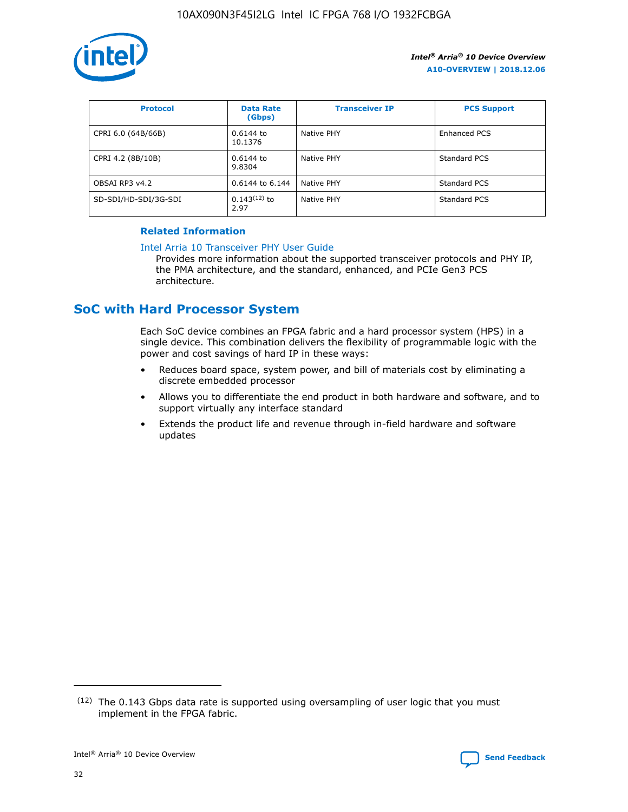

| <b>Protocol</b>      | <b>Data Rate</b><br>(Gbps) | <b>Transceiver IP</b> | <b>PCS Support</b> |
|----------------------|----------------------------|-----------------------|--------------------|
| CPRI 6.0 (64B/66B)   | 0.6144 to<br>10.1376       | Native PHY            | Enhanced PCS       |
| CPRI 4.2 (8B/10B)    | $0.6144$ to<br>9.8304      | Native PHY            | Standard PCS       |
| OBSAI RP3 v4.2       | 0.6144 to 6.144            | Native PHY            | Standard PCS       |
| SD-SDI/HD-SDI/3G-SDI | $0.143(12)$ to<br>2.97     | Native PHY            | Standard PCS       |

## **Related Information**

#### [Intel Arria 10 Transceiver PHY User Guide](https://www.intel.com/content/www/us/en/programmable/documentation/nik1398707230472.html#nik1398707091164)

Provides more information about the supported transceiver protocols and PHY IP, the PMA architecture, and the standard, enhanced, and PCIe Gen3 PCS architecture.

# **SoC with Hard Processor System**

Each SoC device combines an FPGA fabric and a hard processor system (HPS) in a single device. This combination delivers the flexibility of programmable logic with the power and cost savings of hard IP in these ways:

- Reduces board space, system power, and bill of materials cost by eliminating a discrete embedded processor
- Allows you to differentiate the end product in both hardware and software, and to support virtually any interface standard
- Extends the product life and revenue through in-field hardware and software updates

 $(12)$  The 0.143 Gbps data rate is supported using oversampling of user logic that you must implement in the FPGA fabric.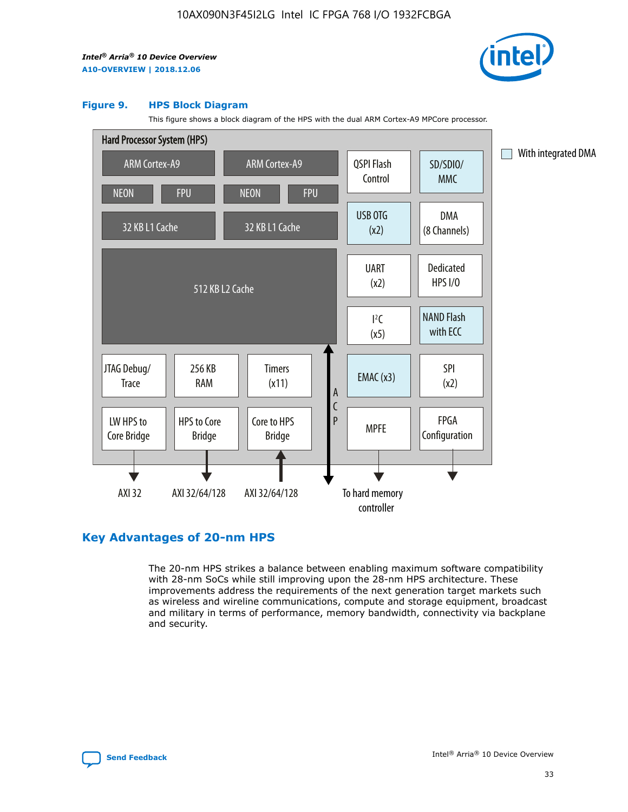

#### **Figure 9. HPS Block Diagram**

This figure shows a block diagram of the HPS with the dual ARM Cortex-A9 MPCore processor.



# **Key Advantages of 20-nm HPS**

The 20-nm HPS strikes a balance between enabling maximum software compatibility with 28-nm SoCs while still improving upon the 28-nm HPS architecture. These improvements address the requirements of the next generation target markets such as wireless and wireline communications, compute and storage equipment, broadcast and military in terms of performance, memory bandwidth, connectivity via backplane and security.

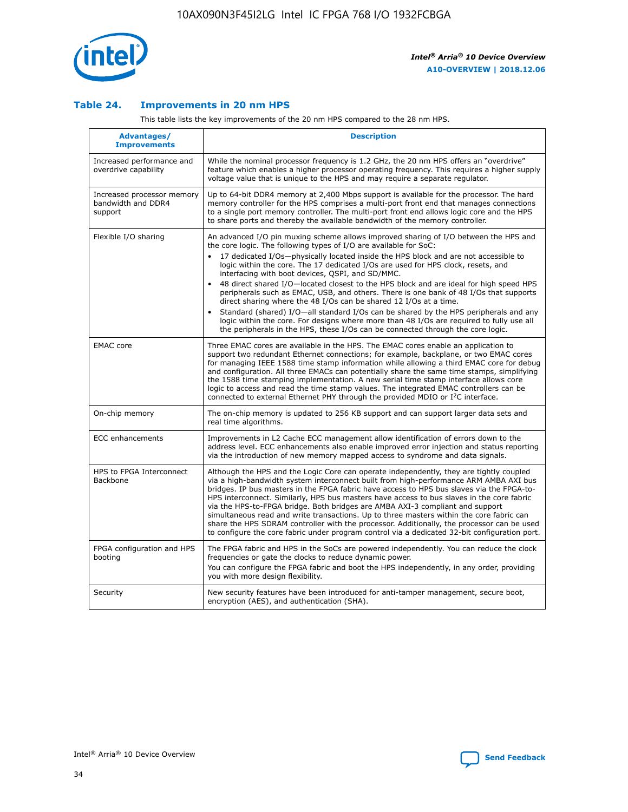

## **Table 24. Improvements in 20 nm HPS**

This table lists the key improvements of the 20 nm HPS compared to the 28 nm HPS.

| Advantages/<br><b>Improvements</b>                          | <b>Description</b>                                                                                                                                                                                                                                                                                                                                                                                                                                                                                                                                                                                                                                                                                                                                                                                                                                                                                                      |
|-------------------------------------------------------------|-------------------------------------------------------------------------------------------------------------------------------------------------------------------------------------------------------------------------------------------------------------------------------------------------------------------------------------------------------------------------------------------------------------------------------------------------------------------------------------------------------------------------------------------------------------------------------------------------------------------------------------------------------------------------------------------------------------------------------------------------------------------------------------------------------------------------------------------------------------------------------------------------------------------------|
| Increased performance and<br>overdrive capability           | While the nominal processor frequency is 1.2 GHz, the 20 nm HPS offers an "overdrive"<br>feature which enables a higher processor operating frequency. This requires a higher supply<br>voltage value that is unique to the HPS and may require a separate regulator.                                                                                                                                                                                                                                                                                                                                                                                                                                                                                                                                                                                                                                                   |
| Increased processor memory<br>bandwidth and DDR4<br>support | Up to 64-bit DDR4 memory at 2,400 Mbps support is available for the processor. The hard<br>memory controller for the HPS comprises a multi-port front end that manages connections<br>to a single port memory controller. The multi-port front end allows logic core and the HPS<br>to share ports and thereby the available bandwidth of the memory controller.                                                                                                                                                                                                                                                                                                                                                                                                                                                                                                                                                        |
| Flexible I/O sharing                                        | An advanced I/O pin muxing scheme allows improved sharing of I/O between the HPS and<br>the core logic. The following types of I/O are available for SoC:<br>17 dedicated I/Os-physically located inside the HPS block and are not accessible to<br>logic within the core. The 17 dedicated I/Os are used for HPS clock, resets, and<br>interfacing with boot devices, QSPI, and SD/MMC.<br>48 direct shared I/O-located closest to the HPS block and are ideal for high speed HPS<br>peripherals such as EMAC, USB, and others. There is one bank of 48 I/Os that supports<br>direct sharing where the 48 I/Os can be shared 12 I/Os at a time.<br>Standard (shared) I/O-all standard I/Os can be shared by the HPS peripherals and any<br>logic within the core. For designs where more than 48 I/Os are reguired to fully use all<br>the peripherals in the HPS, these I/Os can be connected through the core logic. |
| <b>EMAC</b> core                                            | Three EMAC cores are available in the HPS. The EMAC cores enable an application to<br>support two redundant Ethernet connections; for example, backplane, or two EMAC cores<br>for managing IEEE 1588 time stamp information while allowing a third EMAC core for debug<br>and configuration. All three EMACs can potentially share the same time stamps, simplifying<br>the 1588 time stamping implementation. A new serial time stamp interface allows core<br>logic to access and read the time stamp values. The integrated EMAC controllers can be<br>connected to external Ethernet PHY through the provided MDIO or I <sup>2</sup> C interface.                                                                                                                                                                                                                                                                  |
| On-chip memory                                              | The on-chip memory is updated to 256 KB support and can support larger data sets and<br>real time algorithms.                                                                                                                                                                                                                                                                                                                                                                                                                                                                                                                                                                                                                                                                                                                                                                                                           |
| <b>ECC</b> enhancements                                     | Improvements in L2 Cache ECC management allow identification of errors down to the<br>address level. ECC enhancements also enable improved error injection and status reporting<br>via the introduction of new memory mapped access to syndrome and data signals.                                                                                                                                                                                                                                                                                                                                                                                                                                                                                                                                                                                                                                                       |
| HPS to FPGA Interconnect<br>Backbone                        | Although the HPS and the Logic Core can operate independently, they are tightly coupled<br>via a high-bandwidth system interconnect built from high-performance ARM AMBA AXI bus<br>bridges. IP bus masters in the FPGA fabric have access to HPS bus slaves via the FPGA-to-<br>HPS interconnect. Similarly, HPS bus masters have access to bus slaves in the core fabric<br>via the HPS-to-FPGA bridge. Both bridges are AMBA AXI-3 compliant and support<br>simultaneous read and write transactions. Up to three masters within the core fabric can<br>share the HPS SDRAM controller with the processor. Additionally, the processor can be used<br>to configure the core fabric under program control via a dedicated 32-bit configuration port.                                                                                                                                                                  |
| FPGA configuration and HPS<br>booting                       | The FPGA fabric and HPS in the SoCs are powered independently. You can reduce the clock<br>frequencies or gate the clocks to reduce dynamic power.<br>You can configure the FPGA fabric and boot the HPS independently, in any order, providing<br>you with more design flexibility.                                                                                                                                                                                                                                                                                                                                                                                                                                                                                                                                                                                                                                    |
| Security                                                    | New security features have been introduced for anti-tamper management, secure boot,<br>encryption (AES), and authentication (SHA).                                                                                                                                                                                                                                                                                                                                                                                                                                                                                                                                                                                                                                                                                                                                                                                      |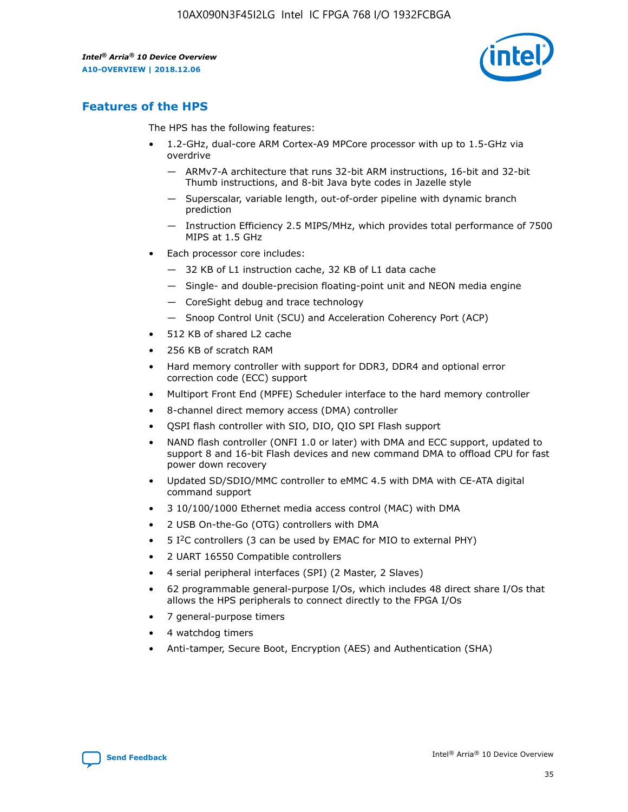

# **Features of the HPS**

The HPS has the following features:

- 1.2-GHz, dual-core ARM Cortex-A9 MPCore processor with up to 1.5-GHz via overdrive
	- ARMv7-A architecture that runs 32-bit ARM instructions, 16-bit and 32-bit Thumb instructions, and 8-bit Java byte codes in Jazelle style
	- Superscalar, variable length, out-of-order pipeline with dynamic branch prediction
	- Instruction Efficiency 2.5 MIPS/MHz, which provides total performance of 7500 MIPS at 1.5 GHz
- Each processor core includes:
	- 32 KB of L1 instruction cache, 32 KB of L1 data cache
	- Single- and double-precision floating-point unit and NEON media engine
	- CoreSight debug and trace technology
	- Snoop Control Unit (SCU) and Acceleration Coherency Port (ACP)
- 512 KB of shared L2 cache
- 256 KB of scratch RAM
- Hard memory controller with support for DDR3, DDR4 and optional error correction code (ECC) support
- Multiport Front End (MPFE) Scheduler interface to the hard memory controller
- 8-channel direct memory access (DMA) controller
- QSPI flash controller with SIO, DIO, QIO SPI Flash support
- NAND flash controller (ONFI 1.0 or later) with DMA and ECC support, updated to support 8 and 16-bit Flash devices and new command DMA to offload CPU for fast power down recovery
- Updated SD/SDIO/MMC controller to eMMC 4.5 with DMA with CE-ATA digital command support
- 3 10/100/1000 Ethernet media access control (MAC) with DMA
- 2 USB On-the-Go (OTG) controllers with DMA
- $\bullet$  5 I<sup>2</sup>C controllers (3 can be used by EMAC for MIO to external PHY)
- 2 UART 16550 Compatible controllers
- 4 serial peripheral interfaces (SPI) (2 Master, 2 Slaves)
- 62 programmable general-purpose I/Os, which includes 48 direct share I/Os that allows the HPS peripherals to connect directly to the FPGA I/Os
- 7 general-purpose timers
- 4 watchdog timers
- Anti-tamper, Secure Boot, Encryption (AES) and Authentication (SHA)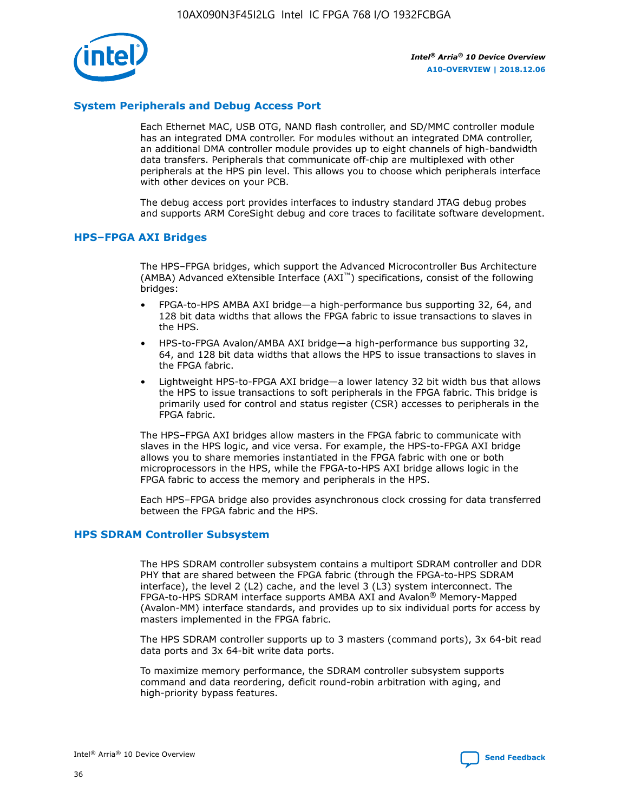

# **System Peripherals and Debug Access Port**

Each Ethernet MAC, USB OTG, NAND flash controller, and SD/MMC controller module has an integrated DMA controller. For modules without an integrated DMA controller, an additional DMA controller module provides up to eight channels of high-bandwidth data transfers. Peripherals that communicate off-chip are multiplexed with other peripherals at the HPS pin level. This allows you to choose which peripherals interface with other devices on your PCB.

The debug access port provides interfaces to industry standard JTAG debug probes and supports ARM CoreSight debug and core traces to facilitate software development.

## **HPS–FPGA AXI Bridges**

The HPS–FPGA bridges, which support the Advanced Microcontroller Bus Architecture (AMBA) Advanced eXtensible Interface (AXI™) specifications, consist of the following bridges:

- FPGA-to-HPS AMBA AXI bridge—a high-performance bus supporting 32, 64, and 128 bit data widths that allows the FPGA fabric to issue transactions to slaves in the HPS.
- HPS-to-FPGA Avalon/AMBA AXI bridge—a high-performance bus supporting 32, 64, and 128 bit data widths that allows the HPS to issue transactions to slaves in the FPGA fabric.
- Lightweight HPS-to-FPGA AXI bridge—a lower latency 32 bit width bus that allows the HPS to issue transactions to soft peripherals in the FPGA fabric. This bridge is primarily used for control and status register (CSR) accesses to peripherals in the FPGA fabric.

The HPS–FPGA AXI bridges allow masters in the FPGA fabric to communicate with slaves in the HPS logic, and vice versa. For example, the HPS-to-FPGA AXI bridge allows you to share memories instantiated in the FPGA fabric with one or both microprocessors in the HPS, while the FPGA-to-HPS AXI bridge allows logic in the FPGA fabric to access the memory and peripherals in the HPS.

Each HPS–FPGA bridge also provides asynchronous clock crossing for data transferred between the FPGA fabric and the HPS.

#### **HPS SDRAM Controller Subsystem**

The HPS SDRAM controller subsystem contains a multiport SDRAM controller and DDR PHY that are shared between the FPGA fabric (through the FPGA-to-HPS SDRAM interface), the level 2 (L2) cache, and the level 3 (L3) system interconnect. The FPGA-to-HPS SDRAM interface supports AMBA AXI and Avalon® Memory-Mapped (Avalon-MM) interface standards, and provides up to six individual ports for access by masters implemented in the FPGA fabric.

The HPS SDRAM controller supports up to 3 masters (command ports), 3x 64-bit read data ports and 3x 64-bit write data ports.

To maximize memory performance, the SDRAM controller subsystem supports command and data reordering, deficit round-robin arbitration with aging, and high-priority bypass features.

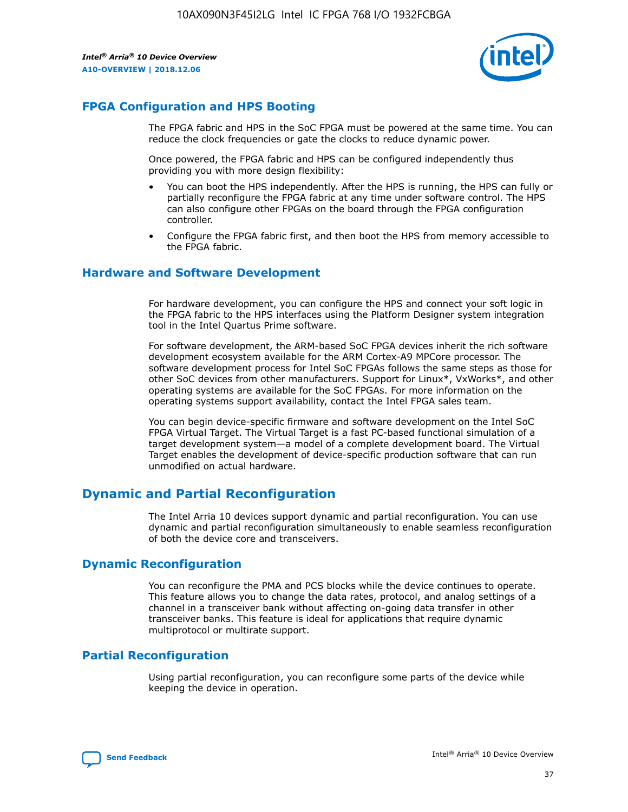

# **FPGA Configuration and HPS Booting**

The FPGA fabric and HPS in the SoC FPGA must be powered at the same time. You can reduce the clock frequencies or gate the clocks to reduce dynamic power.

Once powered, the FPGA fabric and HPS can be configured independently thus providing you with more design flexibility:

- You can boot the HPS independently. After the HPS is running, the HPS can fully or partially reconfigure the FPGA fabric at any time under software control. The HPS can also configure other FPGAs on the board through the FPGA configuration controller.
- Configure the FPGA fabric first, and then boot the HPS from memory accessible to the FPGA fabric.

## **Hardware and Software Development**

For hardware development, you can configure the HPS and connect your soft logic in the FPGA fabric to the HPS interfaces using the Platform Designer system integration tool in the Intel Quartus Prime software.

For software development, the ARM-based SoC FPGA devices inherit the rich software development ecosystem available for the ARM Cortex-A9 MPCore processor. The software development process for Intel SoC FPGAs follows the same steps as those for other SoC devices from other manufacturers. Support for Linux\*, VxWorks\*, and other operating systems are available for the SoC FPGAs. For more information on the operating systems support availability, contact the Intel FPGA sales team.

You can begin device-specific firmware and software development on the Intel SoC FPGA Virtual Target. The Virtual Target is a fast PC-based functional simulation of a target development system—a model of a complete development board. The Virtual Target enables the development of device-specific production software that can run unmodified on actual hardware.

# **Dynamic and Partial Reconfiguration**

The Intel Arria 10 devices support dynamic and partial reconfiguration. You can use dynamic and partial reconfiguration simultaneously to enable seamless reconfiguration of both the device core and transceivers.

# **Dynamic Reconfiguration**

You can reconfigure the PMA and PCS blocks while the device continues to operate. This feature allows you to change the data rates, protocol, and analog settings of a channel in a transceiver bank without affecting on-going data transfer in other transceiver banks. This feature is ideal for applications that require dynamic multiprotocol or multirate support.

# **Partial Reconfiguration**

Using partial reconfiguration, you can reconfigure some parts of the device while keeping the device in operation.

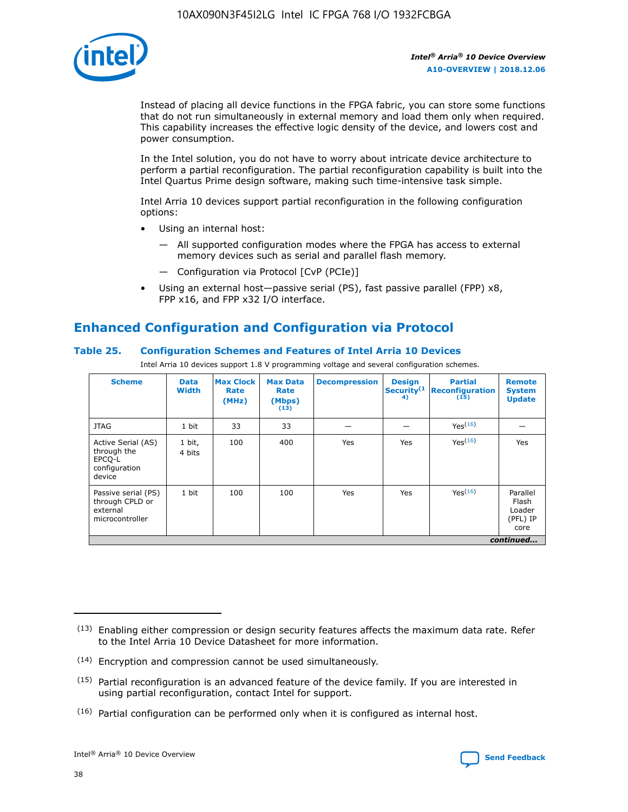

Instead of placing all device functions in the FPGA fabric, you can store some functions that do not run simultaneously in external memory and load them only when required. This capability increases the effective logic density of the device, and lowers cost and power consumption.

In the Intel solution, you do not have to worry about intricate device architecture to perform a partial reconfiguration. The partial reconfiguration capability is built into the Intel Quartus Prime design software, making such time-intensive task simple.

Intel Arria 10 devices support partial reconfiguration in the following configuration options:

- Using an internal host:
	- All supported configuration modes where the FPGA has access to external memory devices such as serial and parallel flash memory.
	- Configuration via Protocol [CvP (PCIe)]
- Using an external host—passive serial (PS), fast passive parallel (FPP) x8, FPP x16, and FPP x32 I/O interface.

# **Enhanced Configuration and Configuration via Protocol**

# **Table 25. Configuration Schemes and Features of Intel Arria 10 Devices**

Intel Arria 10 devices support 1.8 V programming voltage and several configuration schemes.

| <b>Scheme</b>                                                          | <b>Data</b><br><b>Width</b> | <b>Max Clock</b><br>Rate<br>(MHz) | <b>Max Data</b><br>Rate<br>(Mbps)<br>(13) | <b>Decompression</b> | <b>Design</b><br>Security <sup>(1</sup><br>4) | <b>Partial</b><br>Reconfiguration<br>(15) | <b>Remote</b><br><b>System</b><br><b>Update</b> |
|------------------------------------------------------------------------|-----------------------------|-----------------------------------|-------------------------------------------|----------------------|-----------------------------------------------|-------------------------------------------|-------------------------------------------------|
| <b>JTAG</b>                                                            | 1 bit                       | 33                                | 33                                        |                      |                                               | Yes(16)                                   |                                                 |
| Active Serial (AS)<br>through the<br>EPCO-L<br>configuration<br>device | 1 bit,<br>4 bits            | 100                               | 400                                       | Yes                  | Yes                                           | Yes(16)                                   | Yes                                             |
| Passive serial (PS)<br>through CPLD or<br>external<br>microcontroller  | 1 bit                       | 100                               | 100                                       | Yes                  | Yes                                           | Yes <sup>(16)</sup>                       | Parallel<br>Flash<br>Loader<br>(PFL) IP<br>core |
|                                                                        |                             |                                   |                                           |                      |                                               |                                           | continued                                       |

<sup>(13)</sup> Enabling either compression or design security features affects the maximum data rate. Refer to the Intel Arria 10 Device Datasheet for more information.

<sup>(14)</sup> Encryption and compression cannot be used simultaneously.

 $(15)$  Partial reconfiguration is an advanced feature of the device family. If you are interested in using partial reconfiguration, contact Intel for support.

 $(16)$  Partial configuration can be performed only when it is configured as internal host.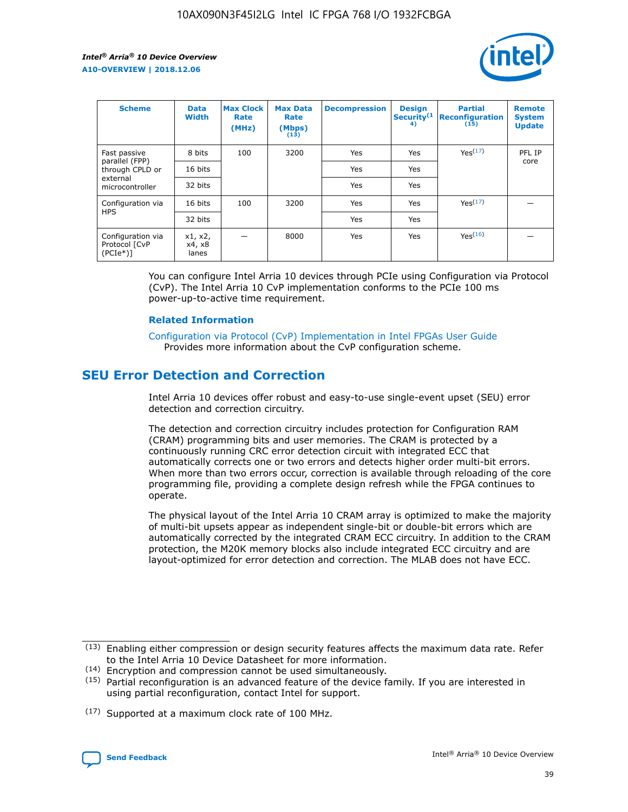

| <b>Scheme</b>                                    | <b>Data</b><br><b>Width</b> | <b>Max Clock</b><br>Rate<br>(MHz) | <b>Max Data</b><br>Rate<br>(Mbps)<br>(13) | <b>Decompression</b> | <b>Design</b><br>Security <sup>(1</sup><br>4) | <b>Partial</b><br><b>Reconfiguration</b><br>(15) | <b>Remote</b><br><b>System</b><br><b>Update</b> |
|--------------------------------------------------|-----------------------------|-----------------------------------|-------------------------------------------|----------------------|-----------------------------------------------|--------------------------------------------------|-------------------------------------------------|
| Fast passive                                     | 8 bits                      | 100                               | 3200                                      | <b>Yes</b>           | Yes                                           | Yes(17)                                          | PFL IP                                          |
| parallel (FPP)<br>through CPLD or                | 16 bits                     |                                   |                                           | Yes                  | Yes                                           |                                                  | core                                            |
| external<br>microcontroller                      | 32 bits                     |                                   |                                           | Yes                  | Yes                                           |                                                  |                                                 |
| Configuration via                                | 16 bits                     | 100                               | 3200                                      | Yes                  | Yes                                           | Yes <sup>(17)</sup>                              |                                                 |
| <b>HPS</b>                                       | 32 bits                     |                                   |                                           | Yes                  | Yes                                           |                                                  |                                                 |
| Configuration via<br>Protocol [CvP<br>$(PCIe^*)$ | x1, x2,<br>x4, x8<br>lanes  |                                   | 8000                                      | Yes                  | Yes                                           | Yes <sup>(16)</sup>                              |                                                 |

You can configure Intel Arria 10 devices through PCIe using Configuration via Protocol (CvP). The Intel Arria 10 CvP implementation conforms to the PCIe 100 ms power-up-to-active time requirement.

#### **Related Information**

[Configuration via Protocol \(CvP\) Implementation in Intel FPGAs User Guide](https://www.intel.com/content/www/us/en/programmable/documentation/dsu1441819344145.html#dsu1442269728522) Provides more information about the CvP configuration scheme.

# **SEU Error Detection and Correction**

Intel Arria 10 devices offer robust and easy-to-use single-event upset (SEU) error detection and correction circuitry.

The detection and correction circuitry includes protection for Configuration RAM (CRAM) programming bits and user memories. The CRAM is protected by a continuously running CRC error detection circuit with integrated ECC that automatically corrects one or two errors and detects higher order multi-bit errors. When more than two errors occur, correction is available through reloading of the core programming file, providing a complete design refresh while the FPGA continues to operate.

The physical layout of the Intel Arria 10 CRAM array is optimized to make the majority of multi-bit upsets appear as independent single-bit or double-bit errors which are automatically corrected by the integrated CRAM ECC circuitry. In addition to the CRAM protection, the M20K memory blocks also include integrated ECC circuitry and are layout-optimized for error detection and correction. The MLAB does not have ECC.

<sup>(17)</sup> Supported at a maximum clock rate of 100 MHz.



 $(13)$  Enabling either compression or design security features affects the maximum data rate. Refer to the Intel Arria 10 Device Datasheet for more information.

<sup>(14)</sup> Encryption and compression cannot be used simultaneously.

 $(15)$  Partial reconfiguration is an advanced feature of the device family. If you are interested in using partial reconfiguration, contact Intel for support.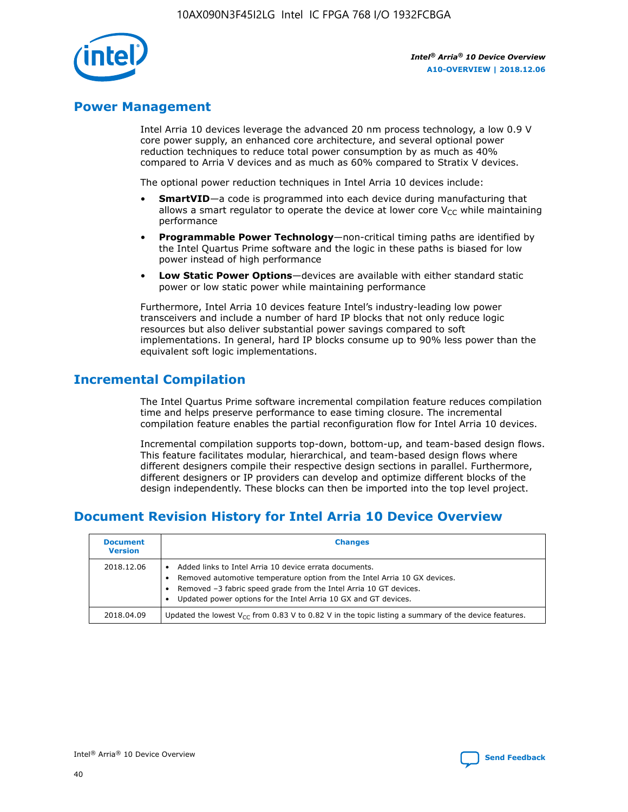

# **Power Management**

Intel Arria 10 devices leverage the advanced 20 nm process technology, a low 0.9 V core power supply, an enhanced core architecture, and several optional power reduction techniques to reduce total power consumption by as much as 40% compared to Arria V devices and as much as 60% compared to Stratix V devices.

The optional power reduction techniques in Intel Arria 10 devices include:

- **SmartVID**—a code is programmed into each device during manufacturing that allows a smart regulator to operate the device at lower core  $V_{CC}$  while maintaining performance
- **Programmable Power Technology**—non-critical timing paths are identified by the Intel Quartus Prime software and the logic in these paths is biased for low power instead of high performance
- **Low Static Power Options**—devices are available with either standard static power or low static power while maintaining performance

Furthermore, Intel Arria 10 devices feature Intel's industry-leading low power transceivers and include a number of hard IP blocks that not only reduce logic resources but also deliver substantial power savings compared to soft implementations. In general, hard IP blocks consume up to 90% less power than the equivalent soft logic implementations.

# **Incremental Compilation**

The Intel Quartus Prime software incremental compilation feature reduces compilation time and helps preserve performance to ease timing closure. The incremental compilation feature enables the partial reconfiguration flow for Intel Arria 10 devices.

Incremental compilation supports top-down, bottom-up, and team-based design flows. This feature facilitates modular, hierarchical, and team-based design flows where different designers compile their respective design sections in parallel. Furthermore, different designers or IP providers can develop and optimize different blocks of the design independently. These blocks can then be imported into the top level project.

# **Document Revision History for Intel Arria 10 Device Overview**

| <b>Document</b><br><b>Version</b> | <b>Changes</b>                                                                                                                                                                                                                                                              |
|-----------------------------------|-----------------------------------------------------------------------------------------------------------------------------------------------------------------------------------------------------------------------------------------------------------------------------|
| 2018.12.06                        | Added links to Intel Arria 10 device errata documents.<br>Removed automotive temperature option from the Intel Arria 10 GX devices.<br>Removed -3 fabric speed grade from the Intel Arria 10 GT devices.<br>Updated power options for the Intel Arria 10 GX and GT devices. |
| 2018.04.09                        | Updated the lowest $V_{CC}$ from 0.83 V to 0.82 V in the topic listing a summary of the device features.                                                                                                                                                                    |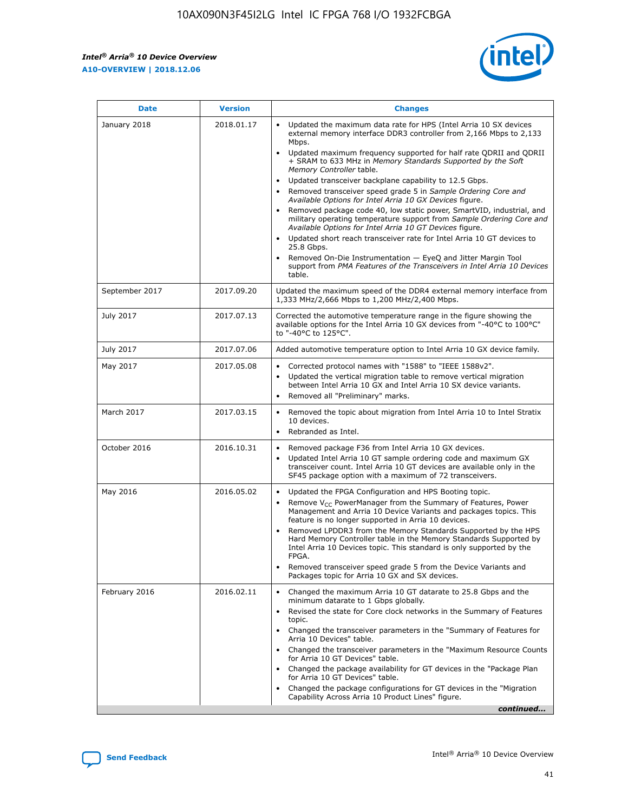

| <b>Date</b>    | <b>Version</b> | <b>Changes</b>                                                                                                                                                                                                                                                                                                                                                                                                                                                                                                                                                                                                                                                                                                                                                                                                                                                                                                                                               |
|----------------|----------------|--------------------------------------------------------------------------------------------------------------------------------------------------------------------------------------------------------------------------------------------------------------------------------------------------------------------------------------------------------------------------------------------------------------------------------------------------------------------------------------------------------------------------------------------------------------------------------------------------------------------------------------------------------------------------------------------------------------------------------------------------------------------------------------------------------------------------------------------------------------------------------------------------------------------------------------------------------------|
| January 2018   | 2018.01.17     | Updated the maximum data rate for HPS (Intel Arria 10 SX devices<br>external memory interface DDR3 controller from 2,166 Mbps to 2,133<br>Mbps.<br>Updated maximum frequency supported for half rate QDRII and QDRII<br>+ SRAM to 633 MHz in Memory Standards Supported by the Soft<br>Memory Controller table.<br>Updated transceiver backplane capability to 12.5 Gbps.<br>Removed transceiver speed grade 5 in Sample Ordering Core and<br>Available Options for Intel Arria 10 GX Devices figure.<br>Removed package code 40, low static power, SmartVID, industrial, and<br>military operating temperature support from Sample Ordering Core and<br>Available Options for Intel Arria 10 GT Devices figure.<br>Updated short reach transceiver rate for Intel Arria 10 GT devices to<br>25.8 Gbps.<br>Removed On-Die Instrumentation - EyeQ and Jitter Margin Tool<br>support from PMA Features of the Transceivers in Intel Arria 10 Devices<br>table. |
| September 2017 | 2017.09.20     | Updated the maximum speed of the DDR4 external memory interface from<br>1,333 MHz/2,666 Mbps to 1,200 MHz/2,400 Mbps.                                                                                                                                                                                                                                                                                                                                                                                                                                                                                                                                                                                                                                                                                                                                                                                                                                        |
| July 2017      | 2017.07.13     | Corrected the automotive temperature range in the figure showing the<br>available options for the Intel Arria 10 GX devices from "-40°C to 100°C"<br>to "-40°C to 125°C".                                                                                                                                                                                                                                                                                                                                                                                                                                                                                                                                                                                                                                                                                                                                                                                    |
| July 2017      | 2017.07.06     | Added automotive temperature option to Intel Arria 10 GX device family.                                                                                                                                                                                                                                                                                                                                                                                                                                                                                                                                                                                                                                                                                                                                                                                                                                                                                      |
| May 2017       | 2017.05.08     | Corrected protocol names with "1588" to "IEEE 1588v2".<br>Updated the vertical migration table to remove vertical migration<br>$\bullet$<br>between Intel Arria 10 GX and Intel Arria 10 SX device variants.<br>Removed all "Preliminary" marks.                                                                                                                                                                                                                                                                                                                                                                                                                                                                                                                                                                                                                                                                                                             |
| March 2017     | 2017.03.15     | Removed the topic about migration from Intel Arria 10 to Intel Stratix<br>10 devices.<br>Rebranded as Intel.<br>$\bullet$                                                                                                                                                                                                                                                                                                                                                                                                                                                                                                                                                                                                                                                                                                                                                                                                                                    |
| October 2016   | 2016.10.31     | Removed package F36 from Intel Arria 10 GX devices.<br>Updated Intel Arria 10 GT sample ordering code and maximum GX<br>$\bullet$<br>transceiver count. Intel Arria 10 GT devices are available only in the<br>SF45 package option with a maximum of 72 transceivers.                                                                                                                                                                                                                                                                                                                                                                                                                                                                                                                                                                                                                                                                                        |
| May 2016       | 2016.05.02     | Updated the FPGA Configuration and HPS Booting topic.<br>$\bullet$<br>Remove V <sub>CC</sub> PowerManager from the Summary of Features, Power<br>Management and Arria 10 Device Variants and packages topics. This<br>feature is no longer supported in Arria 10 devices.<br>Removed LPDDR3 from the Memory Standards Supported by the HPS<br>Hard Memory Controller table in the Memory Standards Supported by<br>Intel Arria 10 Devices topic. This standard is only supported by the<br>FPGA.<br>Removed transceiver speed grade 5 from the Device Variants and<br>Packages topic for Arria 10 GX and SX devices.                                                                                                                                                                                                                                                                                                                                         |
| February 2016  | 2016.02.11     | Changed the maximum Arria 10 GT datarate to 25.8 Gbps and the<br>minimum datarate to 1 Gbps globally.<br>Revised the state for Core clock networks in the Summary of Features<br>topic.<br>Changed the transceiver parameters in the "Summary of Features for<br>Arria 10 Devices" table.<br>Changed the transceiver parameters in the "Maximum Resource Counts"<br>for Arria 10 GT Devices" table.<br>Changed the package availability for GT devices in the "Package Plan<br>for Arria 10 GT Devices" table.<br>Changed the package configurations for GT devices in the "Migration"<br>Capability Across Arria 10 Product Lines" figure.<br>continued                                                                                                                                                                                                                                                                                                     |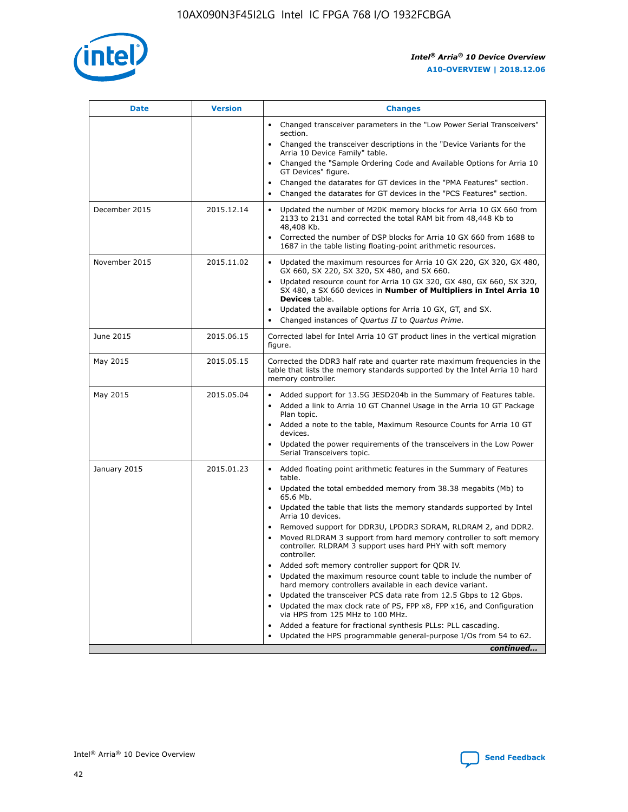

| <b>Date</b>   | <b>Version</b> | <b>Changes</b>                                                                                                                                                               |
|---------------|----------------|------------------------------------------------------------------------------------------------------------------------------------------------------------------------------|
|               |                | • Changed transceiver parameters in the "Low Power Serial Transceivers"<br>section.                                                                                          |
|               |                | • Changed the transceiver descriptions in the "Device Variants for the<br>Arria 10 Device Family" table.                                                                     |
|               |                | Changed the "Sample Ordering Code and Available Options for Arria 10<br>$\bullet$<br>GT Devices" figure.                                                                     |
|               |                | Changed the datarates for GT devices in the "PMA Features" section.                                                                                                          |
|               |                | Changed the datarates for GT devices in the "PCS Features" section.<br>$\bullet$                                                                                             |
| December 2015 | 2015.12.14     | Updated the number of M20K memory blocks for Arria 10 GX 660 from<br>2133 to 2131 and corrected the total RAM bit from 48,448 Kb to<br>48,408 Kb.                            |
|               |                | Corrected the number of DSP blocks for Arria 10 GX 660 from 1688 to<br>1687 in the table listing floating-point arithmetic resources.                                        |
| November 2015 | 2015.11.02     | Updated the maximum resources for Arria 10 GX 220, GX 320, GX 480,<br>$\bullet$<br>GX 660, SX 220, SX 320, SX 480, and SX 660.                                               |
|               |                | • Updated resource count for Arria 10 GX 320, GX 480, GX 660, SX 320,<br>SX 480, a SX 660 devices in Number of Multipliers in Intel Arria 10<br><b>Devices</b> table.        |
|               |                | Updated the available options for Arria 10 GX, GT, and SX.                                                                                                                   |
|               |                | Changed instances of Quartus II to Quartus Prime.<br>$\bullet$                                                                                                               |
| June 2015     | 2015.06.15     | Corrected label for Intel Arria 10 GT product lines in the vertical migration<br>figure.                                                                                     |
| May 2015      | 2015.05.15     | Corrected the DDR3 half rate and quarter rate maximum frequencies in the<br>table that lists the memory standards supported by the Intel Arria 10 hard<br>memory controller. |
| May 2015      | 2015.05.04     | • Added support for 13.5G JESD204b in the Summary of Features table.                                                                                                         |
|               |                | • Added a link to Arria 10 GT Channel Usage in the Arria 10 GT Package<br>Plan topic.                                                                                        |
|               |                | • Added a note to the table, Maximum Resource Counts for Arria 10 GT<br>devices.                                                                                             |
|               |                | • Updated the power requirements of the transceivers in the Low Power<br>Serial Transceivers topic.                                                                          |
| January 2015  | 2015.01.23     | • Added floating point arithmetic features in the Summary of Features<br>table.                                                                                              |
|               |                | • Updated the total embedded memory from 38.38 megabits (Mb) to<br>65.6 Mb.                                                                                                  |
|               |                | • Updated the table that lists the memory standards supported by Intel<br>Arria 10 devices.                                                                                  |
|               |                | Removed support for DDR3U, LPDDR3 SDRAM, RLDRAM 2, and DDR2.                                                                                                                 |
|               |                | Moved RLDRAM 3 support from hard memory controller to soft memory<br>controller. RLDRAM 3 support uses hard PHY with soft memory<br>controller.                              |
|               |                | Added soft memory controller support for QDR IV.<br>٠                                                                                                                        |
|               |                | Updated the maximum resource count table to include the number of<br>hard memory controllers available in each device variant.                                               |
|               |                | Updated the transceiver PCS data rate from 12.5 Gbps to 12 Gbps.<br>$\bullet$                                                                                                |
|               |                | Updated the max clock rate of PS, FPP x8, FPP x16, and Configuration<br>via HPS from 125 MHz to 100 MHz.                                                                     |
|               |                | Added a feature for fractional synthesis PLLs: PLL cascading.                                                                                                                |
|               |                | Updated the HPS programmable general-purpose I/Os from 54 to 62.<br>$\bullet$                                                                                                |
|               |                | continued                                                                                                                                                                    |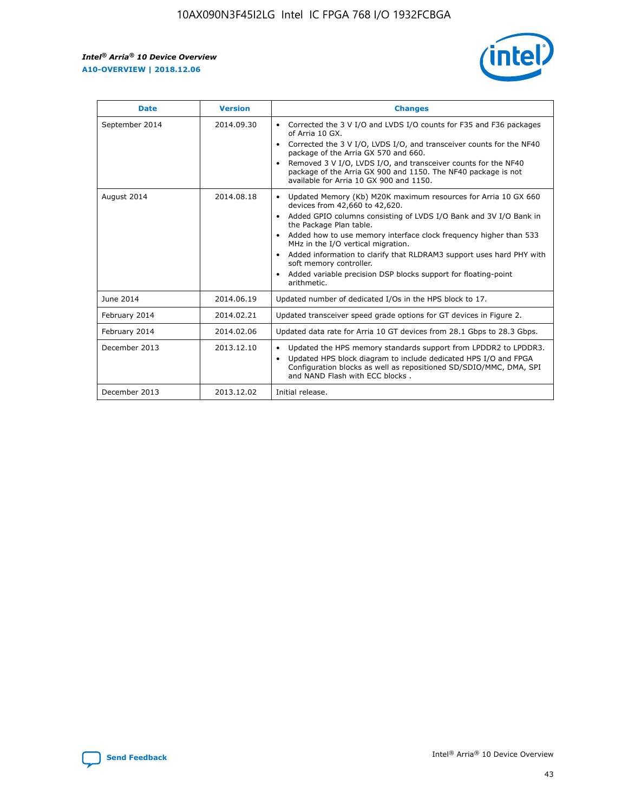r



| <b>Date</b>    | <b>Version</b> | <b>Changes</b>                                                                                                                                                                                                                                                                                                                                                                                                                                                                                                                         |
|----------------|----------------|----------------------------------------------------------------------------------------------------------------------------------------------------------------------------------------------------------------------------------------------------------------------------------------------------------------------------------------------------------------------------------------------------------------------------------------------------------------------------------------------------------------------------------------|
| September 2014 | 2014.09.30     | Corrected the 3 V I/O and LVDS I/O counts for F35 and F36 packages<br>of Arria 10 GX.<br>Corrected the 3 V I/O, LVDS I/O, and transceiver counts for the NF40<br>$\bullet$<br>package of the Arria GX 570 and 660.<br>Removed 3 V I/O, LVDS I/O, and transceiver counts for the NF40<br>package of the Arria GX 900 and 1150. The NF40 package is not<br>available for Arria 10 GX 900 and 1150.                                                                                                                                       |
| August 2014    | 2014.08.18     | Updated Memory (Kb) M20K maximum resources for Arria 10 GX 660<br>devices from 42,660 to 42,620.<br>Added GPIO columns consisting of LVDS I/O Bank and 3V I/O Bank in<br>$\bullet$<br>the Package Plan table.<br>Added how to use memory interface clock frequency higher than 533<br>$\bullet$<br>MHz in the I/O vertical migration.<br>Added information to clarify that RLDRAM3 support uses hard PHY with<br>$\bullet$<br>soft memory controller.<br>Added variable precision DSP blocks support for floating-point<br>arithmetic. |
| June 2014      | 2014.06.19     | Updated number of dedicated I/Os in the HPS block to 17.                                                                                                                                                                                                                                                                                                                                                                                                                                                                               |
| February 2014  | 2014.02.21     | Updated transceiver speed grade options for GT devices in Figure 2.                                                                                                                                                                                                                                                                                                                                                                                                                                                                    |
| February 2014  | 2014.02.06     | Updated data rate for Arria 10 GT devices from 28.1 Gbps to 28.3 Gbps.                                                                                                                                                                                                                                                                                                                                                                                                                                                                 |
| December 2013  | 2013.12.10     | Updated the HPS memory standards support from LPDDR2 to LPDDR3.<br>Updated HPS block diagram to include dedicated HPS I/O and FPGA<br>$\bullet$<br>Configuration blocks as well as repositioned SD/SDIO/MMC, DMA, SPI<br>and NAND Flash with ECC blocks.                                                                                                                                                                                                                                                                               |
| December 2013  | 2013.12.02     | Initial release.                                                                                                                                                                                                                                                                                                                                                                                                                                                                                                                       |